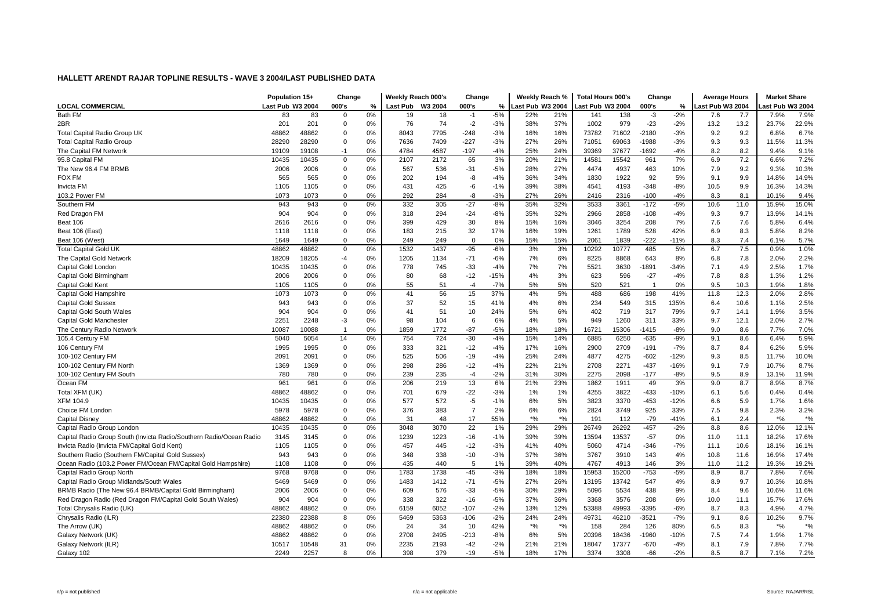|                                                                                                  | Population 15+   |       | Change       |    | Weekly Reach 000's |            | Change         |                | Weekly Reach %   |         | <b>Total Hours 000's</b> |               | Change          |        | <b>Average Hours</b> |      | <b>Market Share</b> |                             |
|--------------------------------------------------------------------------------------------------|------------------|-------|--------------|----|--------------------|------------|----------------|----------------|------------------|---------|--------------------------|---------------|-----------------|--------|----------------------|------|---------------------|-----------------------------|
| <b>LOCAL COMMERCIAL</b>                                                                          | Last Pub W3 2004 |       | 000's        | %  | <b>Last Pub</b>    | W3 2004    | 000's          | %              | Last Pub W3 2004 |         | ast Pub W3 2004          |               | 000's           | %      | Last Pub W3 2004     |      | ast Pub W3 2004.    |                             |
| Bath FM                                                                                          | 83               | 83    | 0            | 0% | 19                 | 18         | $-1$           | $-5%$          | 22%              | 21%     | 141                      | 138           | $-3$            | $-2%$  | 7.6                  | 7.7  | 7.9%                | 7.9%                        |
| 2BR                                                                                              | 201              | 201   | $\mathbf 0$  | 0% | 76                 | 74         | $-2$           | $-3%$          | 38%              | 37%     | 1002                     | 979           | $-23$           | $-2%$  | 13.2                 | 13.2 | 23.7%               | 22.9%                       |
| <b>Total Capital Radio Group UK</b>                                                              | 48862            | 48862 | $\Omega$     | 0% | 8043               | 7795       | $-248$         | $-3%$          | 16%              | 16%     | 73782                    | 71602         | $-2180$         | $-3%$  | 9.2                  | 9.2  | 6.8%                | 6.7%                        |
| <b>Total Capital Radio Group</b>                                                                 | 28290            | 28290 | 0            | 0% | 7636               | 7409       | $-227$         | $-3%$          | 27%              | 26%     | 71051                    | 69063         | -1988           | $-3%$  | 9.3                  | 9.3  | 11.5%               | 11.3%                       |
| The Capital FM Network                                                                           | 19109            | 19108 | $-1$         | 0% | 4784               | 4587       | $-197$         | $-4%$          | 25%              | 24%     | 39369                    | 37677         | -1692           | $-4%$  | 8.2                  | 8.2  | 9.4%                | 9.1%                        |
| 95.8 Capital FM                                                                                  | 10435            | 10435 | 0            | 0% | 2107               | 2172       | 65             | 3%             | 20%              | 21%     | 14581                    | 15542         | 961             | 7%     | 6.9                  | 7.2  | 6.6%                | 7.2%                        |
| The New 96.4 FM BRMB                                                                             | 2006             | 2006  | $\mathbf 0$  | 0% | 567                | 536        | $-31$          | $-5%$          | 28%              | 27%     | 4474                     | 4937          | 463             | 10%    | 7.9                  | 9.2  | 9.3%                | 10.3%                       |
| <b>FOX FM</b>                                                                                    | 565              | 565   | 0            | 0% | 202                | 194        | -8             | $-4%$          | 36%              | 34%     | 1830                     | 1922          | 92              | 5%     | 9.1                  | 9.9  | 14.8%               | 14.9%                       |
| Invicta FM                                                                                       | 1105             | 1105  | 0            | 0% | 431                | 425        | -6             | $-1%$          | 39%              | 38%     | 4541                     | 4193          | $-348$          | -8%    | 10.5                 | 9.9  | 16.3%               | 14.3%                       |
| 103.2 Power FM                                                                                   | 1073             | 1073  | 0            | 0% | 292                | 284        | -8             | $-3%$          | 27%              | 26%     | 2416                     | 2316          | $-100$          | $-4%$  | 8.3                  | 8.1  | 10.1%               | 9.4%                        |
| Southern FM                                                                                      | 943              | 943   | 0            | 0% | 332                | 305        | $-27$          | $-8%$          | 35%              | 32%     | 3533                     | 3361          | $-172$          | $-5%$  | 10.6                 | 11.0 | 15.9%               | 15.0%                       |
| Red Dragon FM                                                                                    | 904              | 904   | 0            | 0% | 318                | 294        | $-24$          | $-8%$          | 35%              | 32%     | 2966                     | 2858          | $-108$          | $-4%$  | 9.3                  | 9.7  | 13.9%               | 14.1%                       |
| Beat 106                                                                                         | 2616             | 2616  | 0            | 0% | 399                | 429        | 30             | 8%             | 15%              | 16%     | 3046                     | 3254          | 208             | 7%     | 7.6                  | 7.6  | 5.8%                | 6.4%                        |
| Beat 106 (East)                                                                                  | 1118             | 1118  | $\mathbf 0$  | 0% | 183                | 215        | 32             | 17%            | 16%              | 19%     | 1261                     | 1789          | 528             | 42%    | 6.9                  | 8.3  | 5.8%                | 8.2%                        |
| Beat 106 (West)                                                                                  | 1649             | 1649  | 0            | 0% | 249                | 249        | $\mathbf 0$    | 0%             | 15%              | 15%     | 2061                     | 1839          | $-222$          | $-11%$ | 8.3                  | 7.4  | 6.1%                | 5.7%                        |
| <b>Total Capital Gold UK</b>                                                                     | 48862            | 48862 | 0            | 0% | 1532               | 1437       | $-95$          | $-6%$          | 3%               | 3%      | 10292                    | 10777         | 485             | 5%     | 6.7                  | 7.5  | 0.9%                | 1.0%                        |
| The Capital Gold Network                                                                         | 18209            | 18205 | $-4$         | 0% | 1205               | 1134       | $-71$          | $-6%$          | 7%               | 6%      | 8225                     | 8868          | 643             | 8%     | 6.8                  | 7.8  | 2.0%                | 2.2%                        |
| Capital Gold London                                                                              | 10435            | 10435 | 0            | 0% | 778                | 745        | $-33$          | $-4%$          | 7%               | 7%      | 5521                     | 3630          | $-1891$         | $-34%$ | 7.1                  | 4.9  | 2.5%                | 1.7%                        |
| Capital Gold Birmingham                                                                          | 2006             | 2006  | $\mathbf 0$  | 0% | 80                 | 68         | $-12$          | $-15%$         | 4%               | 3%      | 623                      | 596           | $-27$           | $-4%$  | 7.8                  | 8.8  | 1.3%                | 1.2%                        |
| Capital Gold Kent                                                                                | 1105             | 1105  | $\mathbf 0$  | 0% | 55                 | 51         | -4             | $-7%$          | 5%               | 5%      | 520                      | 521           | - 1             | 0%     | 9.5                  | 10.3 | 1.9%                | 1.8%                        |
| <b>Capital Gold Hampshire</b>                                                                    | 1073             | 1073  | $\mathbf 0$  | 0% | 41                 | 56         | 15             | 37%            | 4%               | 5%      | 488                      | 686           | 198             | 41%    | 11.8                 | 12.3 | 2.0%                | 2.8%                        |
| <b>Capital Gold Sussex</b>                                                                       | 943              | 943   | 0            | 0% | 37                 | 52         | 15             | 41%            | 4%               | 6%      | 234                      | 549           | 315             | 135%   | 6.4                  | 10.6 | 1.1%                | 2.5%                        |
| Capital Gold South Wales                                                                         | 904              | 904   | $\mathbf 0$  | 0% | 41                 | 51         | 10             | 24%            | 5%               | 6%      | 402                      | 719           | 317             | 79%    | 9.7                  | 14.1 | 1.9%                | 3.5%                        |
| Capital Gold Manchester                                                                          | 2251             | 2248  | $-3$         | 0% | 98                 | 104        | 6              | 6%             | 4%               | 5%      | 949                      | 1260          | 311             | 33%    | 9.7                  | 12.1 | 2.0%                | 2.7%                        |
| The Century Radio Network                                                                        | 10087            | 10088 | $\mathbf{1}$ | 0% | 1859               | 1772       | $-87$          | $-5%$          | 18%              | 18%     | 16721                    | 15306         | -1415           | $-8%$  | 9.0                  | 8.6  | 7.7%                | 7.0%                        |
| 105.4 Century FM                                                                                 | 5040             | 5054  | 14           | 0% | 754                | 724        | $-30$          | $-4%$          | 15%              | 14%     | 6885                     | 6250          | $-635$          | $-9%$  | 9.1                  | 8.6  | 6.4%                | 5.9%                        |
| 106 Century FM                                                                                   | 1995             | 1995  | 0            | 0% | 333                | 321        | $-12$          | $-4%$          | 17%              | 16%     | 2900                     | 2709          | $-191$          | $-7%$  | 8.7                  | 8.4  | 6.2%                | 5.9%                        |
| 100-102 Century FM                                                                               | 2091             | 2091  | $\mathbf 0$  | 0% | 525                | 506        | $-19$          | $-4%$          | 25%              | 24%     | 4877                     | 4275          | $-602$          | $-12%$ | 9.3                  | 8.5  | 11.7%               | 10.0%                       |
| 100-102 Century FM North                                                                         | 1369             | 1369  | 0            | 0% | 298                | 286        | $-12$          | $-4%$          | 22%              | 21%     | 2708                     | 2271          | $-437$          | $-16%$ | 9.1                  | 7.9  | 10.7%               | 8.7%                        |
| 100-102 Century FM South                                                                         | 780              | 780   | $\mathbf 0$  | 0% | 239                | 235        | $-4$           | $-2%$          | 31%              | 30%     | 2275                     | 2098          | $-177$          | -8%    | 9.5                  | 8.9  | 13.1%               | 11.9%                       |
| Ocean FM                                                                                         | 961              | 961   | $\mathbf 0$  | 0% | 206                | 219        | 13             | 6%             | 21%              | 23%     | 1862                     | 1911          | 49              | 3%     | 9.0                  | 8.7  | 8.9%                | 8.7%                        |
| Total XFM (UK)                                                                                   | 48862            | 48862 | 0            | 0% | 701                | 679        | $-22$          | $-3%$          | 1%               | 1%      | 4255                     | 3822          | $-433$          | $-10%$ | 6.1                  | 5.6  | 0.4%                | 0.4%                        |
| <b>XFM 104.9</b>                                                                                 | 10435            | 10435 | 0            | 0% | 577                | 572        | $-5$           | $-1%$          | 6%               | 5%      | 3823                     | 3370          | $-453$          | $-12%$ | 6.6                  | 5.9  | 1.7%                | 1.6%                        |
| Choice FM London                                                                                 | 5978             | 5978  | 0            | 0% | 376                | 383        | $\overline{7}$ | 2%             | 6%               | 6%      | 2824                     | 3749          | 925             | 33%    | 7.5                  | 9.8  | 2.3%                | 3.2%                        |
| Capital Disney                                                                                   | 48862            | 48862 | $\mathbf 0$  | 0% | 31                 | 48         | 17             | 55%            | $*9/6$           | $*o/_0$ | 191                      | 112           | $-79$           | $-41%$ | 6.1                  | 2.4  | $*9/6$              | $\boldsymbol{^{*0}}\!/\!_0$ |
| Capital Radio Group London                                                                       | 10435            | 10435 | 0            | 0% | 3048               | 3070       | 22             | 1%             | 29%              | 29%     | 26749                    | 26292         | $-457$          | $-2%$  | 8.8                  | 8.6  | 12.0%               | 12.1%                       |
|                                                                                                  | 3145             | 3145  | 0            | 0% | 1239               |            | $-16$          |                | 39%              | 39%     | 13594                    |               |                 | 0%     | 11.0                 | 11.1 | 18.2%               | 17.6%                       |
| Capital Radio Group South (Invicta Radio/Southern Radio/Ocean Radio                              |                  | 1105  | $\Omega$     | 0% | 457                | 1223       |                | $-1%$<br>$-3%$ | 41%              | 40%     |                          | 13537<br>4714 | $-57$<br>$-346$ | $-7%$  | 11.1                 | 10.6 | 18.1%               | 16.1%                       |
| Invicta Radio (Invicta FM/Capital Gold Kent)<br>Southern Radio (Southern FM/Capital Gold Sussex) | 1105<br>943      | 943   | $\mathbf 0$  | 0% | 348                | 445<br>338 | $-12$<br>$-10$ | $-3%$          | 37%              | 36%     | 5060                     | 3910          | 143             | 4%     | 10.8                 |      | 16.9%               | 17.4%                       |
|                                                                                                  |                  |       | $\mathbf 0$  | 0% | 435                | 440        | 5              |                |                  |         | 3767                     |               |                 |        |                      | 11.6 | 19.3%               |                             |
| Ocean Radio (103.2 Power FM/Ocean FM/Capital Gold Hampshire)                                     | 1108             | 1108  |              |    |                    |            |                | 1%             | 39%              | 40%     | 4767                     | 4913          | 146             | 3%     | 11.0                 | 11.2 |                     | 19.2%                       |
| Capital Radio Group North                                                                        | 9768             | 9768  | 0            | 0% | 1783               | 1738       | $-45$          | $-3%$          | 18%              | 18%     | 15953                    | 15200         | $-753$          | $-5%$  | 8.9                  | 8.7  | 7.8%                | 7.6%                        |
| Capital Radio Group Midlands/South Wales                                                         | 5469             | 5469  | 0            | 0% | 1483               | 1412       | $-71$          | $-5%$          | 27%              | 26%     | 13195                    | 13742         | 547             | 4%     | 8.9                  | 9.7  | 10.3%               | 10.8%                       |
| BRMB Radio (The New 96.4 BRMB/Capital Gold Birmingham)                                           | 2006             | 2006  | 0            | 0% | 609                | 576        | $-33$          | $-5%$          | 30%              | 29%     | 5096                     | 5534          | 438             | 9%     | 8.4                  | 9.6  | 10.6%               | 11.6%                       |
| Red Dragon Radio (Red Dragon FM/Capital Gold South Wales)                                        | 904              | 904   | $\mathbf 0$  | 0% | 338                | 322        | $-16$          | $-5%$          | 37%              | 36%     | 3368                     | 3576          | 208             | 6%     | 10.0                 | 11.1 | 15.7%               | 17.6%                       |
| Total Chrysalis Radio (UK)                                                                       | 48862            | 48862 | $\mathbf 0$  | 0% | 6159               | 6052       | $-107$         | $-2%$          | 13%              | 12%     | 53388                    | 49993         | -3395           | $-6%$  | 8.7                  | 8.3  | 4.9%                | 4.7%                        |
| Chrysalis Radio (ILR)                                                                            | 22380            | 22388 | 8            | 0% | 5469               | 5363       | $-106$         | $-2%$          | 24%              | 24%     | 49731                    | 46210         | $-3521$         | $-7%$  | 9.1                  | 8.6  | 10.2%               | 9.7%                        |
| The Arrow (UK)                                                                                   | 48862            | 48862 | 0            | 0% | 24                 | 34         | 10             | 42%            | $*9/6$           | $*$ %   | 158                      | 284           | 126             | 80%    | 6.5                  | 8.3  | $*9/6$              | $*$ %                       |
| Galaxy Network (UK)                                                                              | 48862            | 48862 | 0            | 0% | 2708               | 2495       | $-213$         | $-8%$          | 6%               | 5%      | 20396                    | 18436         | 1960            | $-10%$ | 7.5                  | 7.4  | 1.9%                | 1.7%                        |
| Galaxy Network (ILR)                                                                             | 10517            | 10548 | 31           | 0% | 2235               | 2193       | $-42$          | $-2%$          | 21%              | 21%     | 18047                    | 17377         | $-670$          | $-4%$  | 8.1                  | 7.9  | 7.8%                | 7.7%                        |
| Galaxy 102                                                                                       | 2249             | 2257  | 8            | 0% | 398                | 379        | $-19$          | $-5%$          | 18%              | 17%     | 3374                     | 3308          | $-66$           | $-2%$  | 8.5                  | 8.7  | 7.1%                | 7.2%                        |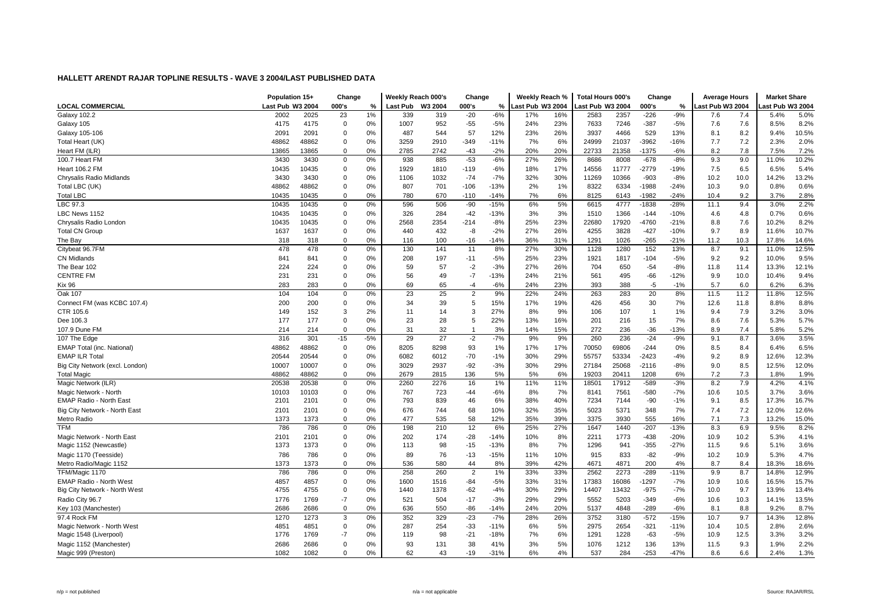|                                 | Population 15+   |       | Change      |       | Weekly Reach 000's |         | Change         |        | Weekly Reach %   |     | <b>Total Hours 000's</b> |       | Change  |        | <b>Average Hours</b> |      | <b>Market Share</b> |       |
|---------------------------------|------------------|-------|-------------|-------|--------------------|---------|----------------|--------|------------------|-----|--------------------------|-------|---------|--------|----------------------|------|---------------------|-------|
| <b>LOCAL COMMERCIAL</b>         | Last Pub W3 2004 |       | 000's       | %     | Last Pub           | W3 2004 | 000's          | %      | Last Pub W3 2004 |     | ast Pub W3 2004          |       | 000's   | %      | ast Pub W3 2004      |      | ast Pub W3 2004     |       |
| <b>Galaxy 102.2</b>             | 2002             | 2025  | 23          | 1%    | 339                | 319     | $-20$          | $-6%$  | 17%              | 16% | 2583                     | 2357  | $-226$  | $-9%$  | 7.6                  | 7.4  | 5.4%                | 5.0%  |
| Galaxy 105                      | 4175             | 4175  | $\mathbf 0$ | 0%    | 1007               | 952     | $-55$          | $-5%$  | 24%              | 23% | 7633                     | 7246  | $-387$  | $-5%$  | 7.6                  | 7.6  | 8.5%                | 8.2%  |
| Galaxy 105-106                  | 2091             | 2091  | $\mathbf 0$ | 0%    | 487                | 544     | 57             | 12%    | 23%              | 26% | 3937                     | 4466  | 529     | 13%    | 8.1                  | 8.2  | 9.4%                | 10.5% |
| Total Heart (UK)                | 48862            | 48862 | 0           | 0%    | 3259               | 2910    | $-349$         | $-11%$ | 7%               | 6%  | 24999                    | 21037 | -3962   | $-16%$ | 7.7                  | 7.2  | 2.3%                | 2.0%  |
| Heart FM (ILR)                  | 13865            | 13865 | $\Omega$    | 0%    | 2785               | 2742    | $-43$          | $-2%$  | 20%              | 20% | 22733                    | 21358 | $-1375$ | $-6%$  | 8.2                  | 7.8  | 7.5%                | 7.2%  |
| 100.7 Heart FM                  | 3430             | 3430  | $\mathbf 0$ | 0%    | 938                | 885     | $-53$          | $-6%$  | 27%              | 26% | 8686                     | 8008  | $-678$  | $-8%$  | 9.3                  | 9.0  | 11.0%               | 10.2% |
| <b>Heart 106.2 FM</b>           | 10435            | 10435 | $\mathbf 0$ | 0%    | 1929               | 1810    | $-119$         | $-6%$  | 18%              | 17% | 14556                    | 11777 | $-2779$ | $-19%$ | 7.5                  | 6.5  | 6.5%                | 5.4%  |
| Chrysalis Radio Midlands        | 3430             | 3430  | $\mathbf 0$ | 0%    | 1106               | 1032    | $-74$          | $-7%$  | 32%              | 30% | 11269                    | 10366 | $-903$  | $-8%$  | 10.2                 | 10.0 | 14.2%               | 13.2% |
| Total LBC (UK)                  | 48862            | 48862 | $\Omega$    | 0%    | 807                | 701     | $-106$         | $-13%$ | 2%               | 1%  | 8322                     | 6334  | $-1988$ | $-24%$ | 10.3                 | 9.0  | 0.8%                | 0.6%  |
| <b>Total LBC</b>                | 10435            | 10435 | $\mathbf 0$ | 0%    | 780                | 670     | $-110$         | $-14%$ | 7%               | 6%  | 8125                     | 6143  | $-1982$ | $-24%$ | 10.4                 | 9.2  | 3.7%                | 2.8%  |
| LBC 97.3                        | 10435            | 10435 | 0           | 0%    | 596                | 506     | $-90$          | $-15%$ | 6%               | 5%  | 6615                     | 4777  | $-1838$ | $-28%$ | 11.1                 | 9.4  | 3.0%                | 2.2%  |
| LBC News 1152                   | 10435            | 10435 | $\mathbf 0$ | 0%    | 326                | 284     | $-42$          | $-13%$ | 3%               | 3%  | 1510                     | 1366  | $-144$  | $-10%$ | 4.6                  | 4.8  | 0.7%                | 0.6%  |
| Chrysalis Radio London          | 10435            | 10435 | $\mathbf 0$ | 0%    | 2568               | 2354    | $-214$         | $-8%$  | 25%              | 23% | 22680                    | 17920 | -4760   | $-21%$ | 8.8                  | 7.6  | 10.2%               | 8.2%  |
| <b>Total CN Group</b>           | 1637             | 1637  | $\mathbf 0$ | 0%    | 440                | 432     | -8             | $-2%$  | 27%              | 26% | 4255                     | 3828  | $-427$  | $-10%$ | 9.7                  | 8.9  | 11.6%               | 10.7% |
| The Bay                         | 318              | 318   | $\Omega$    | 0%    | 116                | 100     | $-16$          | $-14%$ | 36%              | 31% | 1291                     | 1026  | $-265$  | $-21%$ | 11.2                 | 10.3 | 17.8%               | 14.6% |
| Citybeat 96.7FM                 | 478              | 478   | $\mathbf 0$ | 0%    | 130                | 141     | 11             | 8%     | 27%              | 30% | 1128                     | 1280  | 152     | 13%    | 8.7                  | 9.1  | 11.0%               | 12.5% |
| CN Midlands                     | 841              | 841   | $\mathbf 0$ | 0%    | 208                | 197     | $-11$          | $-5%$  | 25%              | 23% | 1921                     | 1817  | $-104$  | $-5%$  | 9.2                  | 9.2  | 10.0%               | 9.5%  |
| The Bear 102                    | 224              | 224   | $\mathbf 0$ | 0%    | 59                 | 57      | -2             | $-3%$  | 27%              | 26% | 704                      | 650   | $-54$   | $-8%$  | 11.8                 | 11.4 | 13.3%               | 12.1% |
| <b>CENTRE FM</b>                | 231              | 231   | $\mathbf 0$ | 0%    | 56                 | 49      | $-7$           | $-13%$ | 24%              | 21% | 561                      | 495   | $-66$   | $-12%$ | 9.9                  | 10.0 | 10.4%               | 9.4%  |
| <b>Kix 96</b>                   | 283              | 283   | $\Omega$    | 0%    | 69                 | 65      | $-4$           | $-6%$  | 24%              | 23% | 393                      | 388   | $-5$    | $-1%$  | 5.7                  | 6.0  | 6.2%                | 6.3%  |
| Oak 107                         | 104              | 104   | $\Omega$    | 0%    | 23                 | 25      | $\overline{2}$ | 9%     | 22%              | 24% | 263                      | 283   | 20      | 8%     | 11.5                 | 11.2 | 11.8%               | 12.5% |
| Connect FM (was KCBC 107.4)     | 200              | 200   | $\mathbf 0$ | 0%    | 34                 | 39      | 5              | 15%    | 17%              | 19% | 426                      | 456   | 30      | 7%     | 12.6                 | 11.8 | 8.8%                | 8.8%  |
| CTR 105.6                       | 149              | 152   | 3           | 2%    | 11                 | 14      | 3              | 27%    | 8%               | 9%  | 106                      | 107   | -1      | 1%     | 9.4                  | 7.9  | 3.2%                | 3.0%  |
| Dee 106.3                       | 177              | 177   | $\mathbf 0$ | 0%    | 23                 | 28      | 5              | 22%    | 13%              | 16% | 201                      | 216   | 15      | 7%     | 8.6                  | 7.6  | 5.3%                | 5.7%  |
| 107.9 Dune FM                   | 214              | 214   | $\mathbf 0$ | 0%    | 31                 | 32      | $\overline{1}$ | 3%     | 14%              | 15% | 272                      | 236   | $-36$   | $-13%$ | 8.9                  | 7.4  | 5.8%                | 5.2%  |
| 107 The Edge                    | 316              | 301   | $-15$       | $-5%$ | 29                 | 27      | $-2$           | $-7%$  | 9%               | 9%  | 260                      | 236   | $-24$   | $-9%$  | 9.1                  | 8.7  | 3.6%                | 3.5%  |
| EMAP Total (inc. National)      | 48862            | 48862 | $\mathbf 0$ | 0%    | 8205               | 8298    | 93             | 1%     | 17%              | 17% | 70050                    | 69806 | $-244$  | 0%     | 8.5                  | 8.4  | 6.4%                | 6.5%  |
| <b>EMAP ILR Total</b>           | 20544            | 20544 | $\mathbf 0$ | 0%    | 6082               | 6012    | $-70$          | $-1%$  | 30%              | 29% | 55757                    | 53334 | $-2423$ | $-4%$  | 9.2                  | 8.9  | 12.6%               | 12.3% |
| Big City Network (excl. London) | 10007            | 10007 | 0           | 0%    | 3029               | 2937    | $-92$          | $-3%$  | 30%              | 29% | 27184                    | 25068 | $-2116$ | $-8%$  | 9.0                  | 8.5  | 12.5%               | 12.0% |
| Total Magic                     | 48862            | 48862 | $\Omega$    | 0%    | 2679               | 2815    | 136            | 5%     | 5%               | 6%  | 19203                    | 20411 | 1208    | 6%     | 7.2                  | 7.3  | 1.8%                | 1.9%  |
| Magic Network (ILR)             | 20538            | 20538 | $\mathbf 0$ | 0%    | 2260               | 2276    | 16             | 1%     | 11%              | 11% | 18501                    | 17912 | $-589$  | $-3%$  | 8.2                  | 7.9  | 4.2%                | 4.1%  |
| Magic Network - North           | 10103            | 10103 | $\mathbf 0$ | 0%    | 767                | 723     | $-44$          | $-6%$  | 8%               | 7%  | 8141                     | 7561  | $-580$  | $-7%$  | 10.6                 | 10.5 | 3.7%                | 3.6%  |
| EMAP Radio - North East         | 2101             | 2101  | $\mathbf 0$ | 0%    | 793                | 839     | 46             | 6%     | 38%              | 40% | 7234                     | 7144  | $-90$   | $-1%$  | 9.1                  | 8.5  | 17.3%               | 16.7% |
| Big City Network - North East   | 2101             | 2101  | 0           | 0%    | 676                | 744     | 68             | 10%    | 32%              | 35% | 5023                     | 5371  | 348     | 7%     | 7.4                  | 7.2  | 12.0%               | 12.6% |
| Metro Radio                     | 1373             | 1373  | $\mathbf 0$ | 0%    | 477                | 535     | 58             | 12%    | 35%              | 39% | 3375                     | 3930  | 555     | 16%    | 7.1                  | 7.3  | 13.2%               | 15.0% |
| <b>TFM</b>                      | 786              | 786   | $\mathbf 0$ | 0%    | 198                | 210     | 12             | 6%     | 25%              | 27% | 1647                     | 1440  | $-207$  | $-13%$ | 8.3                  | 6.9  | 9.5%                | 8.2%  |
| Magic Network - North East      | 2101             | 2101  | $\mathbf 0$ | 0%    | 202                | 174     | $-28$          | $-14%$ | 10%              | 8%  | 2211                     | 1773  | $-438$  | $-20%$ | 10.9                 | 10.2 | 5.3%                | 4.1%  |
| Magic 1152 (Newcastle)          | 1373             | 1373  | $\mathbf 0$ | 0%    | 113                | 98      | $-15$          | $-13%$ | 8%               | 7%  | 1296                     | 941   | $-355$  | $-27%$ | 11.5                 | 9.6  | 5.1%                | 3.6%  |
| Magic 1170 (Teesside)           | 786              | 786   | $\mathbf 0$ | 0%    | 89                 | 76      | $-13$          | $-15%$ | 11%              | 10% | 915                      | 833   | $-82$   | $-9%$  | 10.2                 | 10.9 | 5.3%                | 4.7%  |
| Metro Radio/Magic 1152          | 1373             | 1373  | $\mathbf 0$ | 0%    | 536                | 580     | 44             | 8%     | 39%              | 42% | 4671                     | 4871  | 200     | 4%     | 8.7                  | 8.4  | 18.3%               | 18.6% |
| TFM/Magic 1170                  | 786              | 786   | 0           | 0%    | 258                | 260     | $\overline{2}$ | 1%     | 33%              | 33% | 2562                     | 2273  | $-289$  | $-11%$ | 9.9                  | 8.7  | 14.8%               | 12.9% |
| EMAP Radio - North West         | 4857             | 4857  | $\mathbf 0$ | 0%    | 1600               | 1516    | -84            | $-5%$  | 33%              | 31% | 17383                    | 16086 | $-1297$ | $-7%$  | 10.9                 | 10.6 | 16.5%               | 15.7% |
| Big City Network - North West   | 4755             | 4755  | $\Omega$    | 0%    | 1440               | 1378    | $-62$          | $-4%$  | 30%              | 29% | 14407                    | 13432 | $-975$  | $-7%$  | 10.0                 | 9.7  | 13.9%               | 13.4% |
| Radio City 96.7                 | 1776             | 1769  | $-7$        | 0%    | 521                | 504     | $-17$          | $-3%$  | 29%              | 29% | 5552                     | 5203  | $-349$  | $-6%$  | 10.6                 | 10.3 | 14.1%               | 13.5% |
| Key 103 (Manchester)            | 2686             | 2686  | $\mathbf 0$ | 0%    | 636                | 550     | $-86$          | $-14%$ | 24%              | 20% | 5137                     | 4848  | $-289$  | $-6%$  | 8.1                  | 8.8  | 9.2%                | 8.7%  |
| 97.4 Rock FM                    | 1270             | 1273  | 3           | 0%    | 352                | 329     | $-23$          | $-7%$  | 28%              | 26% | 3752                     | 3180  | $-572$  | $-15%$ | 10.7                 | 9.7  | 14.3%               | 12.8% |
| Magic Network - North West      | 4851             | 4851  | $\mathbf 0$ | 0%    | 287                | 254     | $-33$          | $-11%$ | 6%               | 5%  | 2975                     | 2654  | $-321$  | $-11%$ | 10.4                 | 10.5 | 2.8%                | 2.6%  |
| Magic 1548 (Liverpool)          | 1776             | 1769  | $-7$        | 0%    | 119                | 98      | $-21$          | $-18%$ | 7%               | 6%  | 1291                     | 1228  | $-63$   | $-5%$  | 10.9                 | 12.5 | 3.3%                | 3.2%  |
| Magic 1152 (Manchester)         | 2686             | 2686  | $\mathbf 0$ | 0%    | 93                 | 131     | 38             | 41%    | 3%               | 5%  | 1076                     | 1212  | 136     | 13%    | 11.5                 | 9.3  | 1.9%                | 2.2%  |
| Magic 999 (Preston)             | 1082             | 1082  | $\Omega$    | 0%    | 62                 | 43      | $-19$          | $-31%$ | 6%               | 4%  | 537                      | 284   | $-253$  | $-47%$ | 8.6                  | 6.6  | 2.4%                | 1.3%  |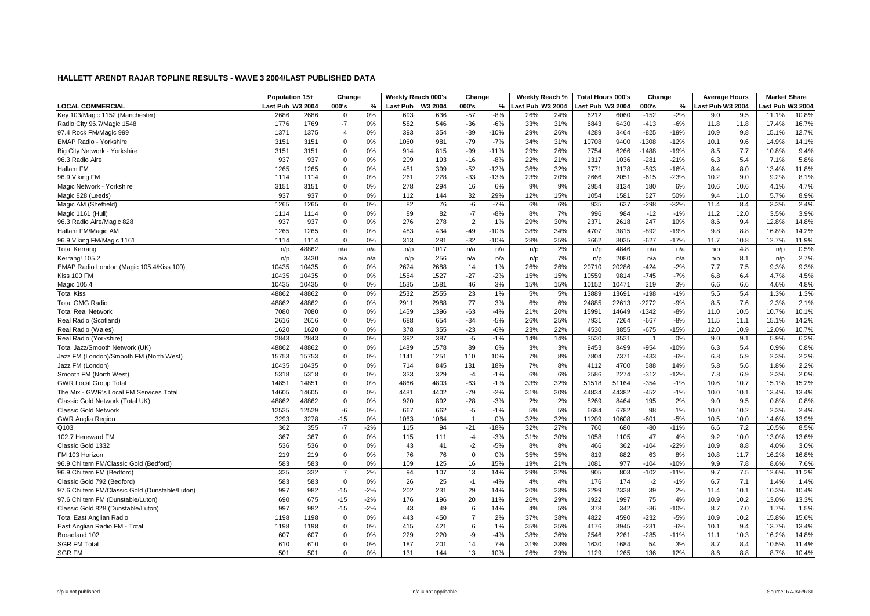|                                                 | Population 15+   |       | Change         |       | Weekly Reach 000's |         | Change         |        | Weekly Reach %   |     | <b>Total Hours 000's</b> |       | Change         |        | <b>Average Hours</b> |      | <b>Market Share</b> |       |
|-------------------------------------------------|------------------|-------|----------------|-------|--------------------|---------|----------------|--------|------------------|-----|--------------------------|-------|----------------|--------|----------------------|------|---------------------|-------|
| <b>LOCAL COMMERCIAL</b>                         | Last Pub W3 2004 |       | 000's          | %     | <b>Last Pub</b>    | W3 2004 | 000's          | %      | Last Pub W3 2004 |     | Last Pub W3 2004         |       | 000's          | $\%$   | Last Pub W3 2004     |      | ast Pub W3 2004.    |       |
| Key 103/Magic 1152 (Manchester)                 | 2686             | 2686  | 0              | 0%    | 693                | 636     | $-57$          | $-8%$  | 26%              | 24% | 6212                     | 6060  | $-152$         | $-2%$  | 9.0                  | 9.5  | 11.1%               | 10.8% |
| Radio City 96.7/Magic 1548                      | 1776             | 1769  | $-7$           | 0%    | 582                | 546     | $-36$          | $-6%$  | 33%              | 31% | 6843                     | 6430  | $-413$         | $-6%$  | 11.8                 | 11.8 | 17.4%               | 16.7% |
| 97.4 Rock FM/Magic 999                          | 1371             | 1375  | 4              | 0%    | 393                | 354     | $-39$          | $-10%$ | 29%              | 26% | 4289                     | 3464  | $-825$         | $-19%$ | 10.9                 | 9.8  | 15.1%               | 12.7% |
| <b>EMAP Radio - Yorkshire</b>                   | 3151             | 3151  | $\mathbf 0$    | 0%    | 1060               | 981     | $-79$          | $-7%$  | 34%              | 31% | 10708                    | 9400  | $-1308$        | $-12%$ | 10.1                 | 9.6  | 14.9%               | 14.1% |
| Big City Network - Yorkshire                    | 3151             | 3151  | 0              | 0%    | 914                | 815     | $-99$          | $-11%$ | 29%              | 26% | 7754                     | 6266  | $-1488$        | $-19%$ | 8.5                  | 7.7  | 10.8%               | 9.4%  |
| 96.3 Radio Aire                                 | 937              | 937   | 0              | 0%    | 209                | 193     | $-16$          | $-8%$  | 22%              | 21% | 1317                     | 1036  | $-281$         | -21%   | 6.3                  | 5.4  | 7.1%                | 5.8%  |
| Hallam FM                                       | 1265             | 1265  | 0              | 0%    | 451                | 399     | $-52$          | $-12%$ | 36%              | 32% | 3771                     | 3178  | $-593$         | $-16%$ | 8.4                  | 8.0  | 13.4%               | 11.8% |
| 96.9 Viking FM                                  | 1114             | 1114  | 0              | 0%    | 261                | 228     | $-33$          | $-13%$ | 23%              | 20% | 2666                     | 2051  | $-615$         | $-23%$ | 10.2                 | 9.0  | 9.2%                | 8.1%  |
| Magic Network - Yorkshire                       | 3151             | 3151  | $\mathbf 0$    | 0%    | 278                | 294     | 16             | 6%     | 9%               | 9%  | 2954                     | 3134  | 180            | 6%     | 10.6                 | 10.6 | 4.1%                | 4.7%  |
| Magic 828 (Leeds)                               | 937              | 937   | $\mathbf 0$    | 0%    | 112                | 144     | 32             | 29%    | 12%              | 15% | 1054                     | 1581  | 527            | 50%    | 9.4                  | 11.0 | 5.7%                | 8.9%  |
| Magic AM (Sheffield)                            | 1265             | 1265  | 0              | 0%    | 82                 | 76      | -6             | $-7%$  | 6%               | 6%  | 935                      | 637   | $-298$         | $-32%$ | 11.4                 | 8.4  | 3.3%                | 2.4%  |
| Magic 1161 (Hull)                               | 1114             | 1114  | 0              | 0%    | 89                 | 82      | $-7$           | $-8%$  | 8%               | 7%  | 996                      | 984   | $-12$          | $-1%$  | 11.2                 | 12.0 | 3.5%                | 3.9%  |
| 96.3 Radio Aire/Magic 828                       | 937              | 937   | 0              | 0%    | 276                | 278     | $\overline{2}$ | 1%     | 29%              | 30% | 2371                     | 2618  | 247            | 10%    | 8.6                  | 9.4  | 12.8%               | 14.8% |
| Hallam FM/Magic AM                              | 1265             | 1265  | $\mathbf 0$    | 0%    | 483                | 434     | $-49$          | $-10%$ | 38%              | 34% | 4707                     | 3815  | $-892$         | $-19%$ | 9.8                  | 8.8  | 16.8%               | 14.2% |
| 96.9 Viking FM/Magic 1161                       | 1114             | 1114  | $\mathbf 0$    | 0%    | 313                | 281     | $-32$          | $-10%$ | 28%              | 25% | 3662                     | 3035  | $-627$         | $-17%$ | 11.7                 | 10.8 | 12.7%               | 11.9% |
| <b>Total Kerrang!</b>                           | n/p              | 48862 | n/a            | n/a   | n/p                | 1017    | n/a            | n/a    | n/p              | 2%  | n/p                      | 4846  | n/a            | n/a    | n/p                  | 4.8  | n/p                 | 0.5%  |
| Kerrang! 105.2                                  | n/p              | 3430  | n/a            | n/a   | n/p                | 256     | n/a            | n/a    | n/p              | 7%  | n/p                      | 2080  | n/a            | n/a    | n/p                  | 8.1  | n/p                 | 2.7%  |
| EMAP Radio London (Magic 105.4/Kiss 100)        | 10435            | 10435 | 0              | 0%    | 2674               | 2688    | 14             | 1%     | 26%              | 26% | 20710                    | 20286 | $-424$         | $-2%$  | 7.7                  | 7.5  | 9.3%                | 9.3%  |
| Kiss 100 FM                                     | 10435            | 10435 | 0              | 0%    | 1554               | 1527    | $-27$          | $-2%$  | 15%              | 15% | 10559                    | 9814  | $-745$         | $-7%$  | 6.8                  | 6.4  | 4.7%                | 4.5%  |
| Magic 105.4                                     | 10435            | 10435 | $\mathbf 0$    | 0%    | 1535               | 1581    | 46             | 3%     | 15%              | 15% | 10152                    | 10471 | 319            | 3%     | 6.6                  | 6.6  | 4.6%                | 4.8%  |
| <b>Total Kiss</b>                               | 48862            | 48862 | $\mathbf 0$    | 0%    | 2532               | 2555    | 23             | 1%     | 5%               | 5%  | 13889                    | 13691 | $-198$         | $-1%$  | 5.5                  | 5.4  | 1.3%                | 1.3%  |
| <b>Total GMG Radio</b>                          | 48862            | 48862 | 0              | 0%    | 2911               | 2988    | 77             | 3%     | 6%               | 6%  | 24885                    | 22613 | $-2272$        | $-9%$  | 8.5                  | 7.6  | 2.3%                | 2.1%  |
| <b>Total Real Network</b>                       | 7080             | 7080  | 0              | 0%    | 1459               | 1396    | $-63$          | $-4%$  | 21%              | 20% | 15991                    | 14649 | -1342          | $-8%$  | 11.0                 | 10.5 | 10.7%               | 10.1% |
| Real Radio (Scotland)                           | 2616             | 2616  | 0              | 0%    | 688                | 654     | $-34$          | $-5%$  | 26%              | 25% | 7931                     | 7264  | $-667$         | $-8%$  | 11.5                 | 11.1 | 15.1%               | 14.2% |
| Real Radio (Wales)                              | 1620             | 1620  | $\mathbf 0$    | 0%    | 378                | 355     | $-23$          | $-6%$  | 23%              | 22% | 4530                     | 3855  | $-675$         | $-15%$ | 12.0                 | 10.9 | 12.0%               | 10.7% |
| Real Radio (Yorkshire)                          | 2843             | 2843  | $\mathbf 0$    | 0%    | 392                | 387     | $-5$           | $-1%$  | 14%              | 14% | 3530                     | 3531  | $\overline{1}$ | 0%     | 9.0                  | 9.1  | 5.9%                | 6.2%  |
| Total Jazz/Smooth Network (UK)                  | 48862            | 48862 | 0              | 0%    | 1489               | 1578    | 89             | 6%     | 3%               | 3%  | 9453                     | 8499  | $-954$         | $-10%$ | 6.3                  | 5.4  | 0.9%                | 0.8%  |
| Jazz FM (London)/Smooth FM (North West)         | 15753            | 15753 | 0              | 0%    | 1141               | 1251    | 110            | 10%    | 7%               | 8%  | 7804                     | 7371  | $-433$         | $-6%$  | 6.8                  | 5.9  | 2.3%                | 2.2%  |
| Jazz FM (London)                                | 10435            | 10435 | 0              | 0%    | 714                | 845     | 131            | 18%    | 7%               | 8%  | 4112                     | 4700  | 588            | 14%    | 5.8                  | 5.6  | 1.8%                | 2.2%  |
| Smooth FM (North West)                          | 5318             | 5318  | 0              | 0%    | 333                | 329     | $-4$           | $-1%$  | 6%               | 6%  | 2586                     | 2274  | $-312$         | $-12%$ | 7.8                  | 6.9  | 2.3%                | 2.0%  |
| <b>GWR Local Group Total</b>                    | 14851            | 14851 | $\mathbf 0$    | 0%    | 4866               | 4803    | $-63$          | $-1%$  | 33%              | 32% | 51518                    | 51164 | $-354$         | $-1%$  | 10.6                 | 10.7 | 15.1%               | 15.2% |
| The Mix - GWR's Local FM Services Total         | 14605            | 14605 | $\mathbf 0$    | 0%    | 4481               | 4402    | $-79$          | $-2%$  | 31%              | 30% | 44834                    | 44382 | $-452$         | $-1%$  | 10.0                 | 10.1 | 13.4%               | 13.4% |
| Classic Gold Network (Total UK)                 | 48862            | 48862 | $\mathbf 0$    | 0%    | 920                | 892     | $-28$          | $-3%$  | 2%               | 2%  | 8269                     | 8464  | 195            | 2%     | 9.0                  | 9.5  | 0.8%                | 0.8%  |
| <b>Classic Gold Network</b>                     | 12535            | 12529 | -6             | 0%    | 667                | 662     | $-5$           | $-1%$  | 5%               | 5%  | 6684                     | 6782  | 98             | $1\%$  | 10.0                 | 10.2 | 2.3%                | 2.4%  |
| <b>GWR Anglia Region</b>                        | 3293             | 3278  | $-15$          | 0%    | 1063               | 1064    | $\overline{1}$ | 0%     | 32%              | 32% | 11209                    | 10608 | $-601$         | $-5%$  | 10.5                 | 10.0 | 14.6%               | 13.9% |
| Q103                                            | 362              | 355   | $-7$           | $-2%$ | 115                | 94      | $-21$          | $-18%$ | 32%              | 27% | 760                      | 680   | $-80$          | $-11%$ | 6.6                  | 7.2  | 10.5%               | 8.5%  |
| 102.7 Hereward FM                               | 367              | 367   | $\mathbf 0$    | 0%    | 115                | 111     | $-4$           | $-3%$  | 31%              | 30% | 1058                     | 1105  | 47             | 4%     | 9.2                  | 10.0 | 13.0%               | 13.6% |
| Classic Gold 1332                               | 536              | 536   | $\mathbf 0$    | 0%    | 43                 | 41      | $-2$           | $-5%$  | 8%               | 8%  | 466                      | 362   | $-104$         | $-22%$ | 10.9                 | 8.8  | 4.0%                | 3.0%  |
| FM 103 Horizon                                  | 219              | 219   | $\mathbf 0$    | 0%    | 76                 | 76      | $\overline{0}$ | 0%     | 35%              | 35% | 819                      | 882   | 63             | 8%     | 10.8                 | 11.7 | 16.2%               | 16.8% |
| 96.9 Chiltern FM/Classic Gold (Bedford)         | 583              | 583   | $\mathbf 0$    | 0%    | 109                | 125     | 16             | 15%    | 19%              | 21% | 1081                     | 977   | $-104$         | $-10%$ | 9.9                  | 7.8  | 8.6%                | 7.6%  |
| 96.9 Chiltern FM (Bedford)                      | 325              | 332   | $\overline{7}$ | 2%    | 94                 | 107     | 13             | 14%    | 29%              | 32% | 905                      | 803   | $-102$         | $-11%$ | 9.7                  | 7.5  | 12.6%               | 11.2% |
| Classic Gold 792 (Bedford)                      | 583              | 583   | $\mathbf 0$    | 0%    | 26                 | 25      | $-1$           | $-4%$  | 4%               | 4%  | 176                      | 174   | $-2$           | $-1%$  | 6.7                  | 7.1  | 1.4%                | 1.4%  |
| 97.6 Chiltern FM/Classic Gold (Dunstable/Luton) | 997              | 982   | $-15$          | $-2%$ | 202                | 231     | 29             | 14%    | 20%              | 23% | 2299                     | 2338  | 39             | 2%     | 11.4                 | 10.1 | 10.3%               | 10.4% |
| 97.6 Chiltern FM (Dunstable/Luton)              | 690              | 675   | $-15$          | $-2%$ | 176                | 196     | 20             | 11%    | 26%              | 29% | 1922                     | 1997  | 75             | 4%     | 10.9                 | 10.2 | 13.0%               | 13.3% |
| Classic Gold 828 (Dunstable/Luton)              | 997              | 982   | $-15$          | $-2%$ | 43                 | 49      | 6              | 14%    | 4%               | 5%  | 378                      | 342   | $-36$          | $-10%$ | 8.7                  | 7.0  | 1.7%                | 1.5%  |
| Total East Anglian Radio                        | 1198             | 1198  | 0              | 0%    | 443                | 450     | $\overline{7}$ | 2%     | 37%              | 38% | 4822                     | 4590  | $-232$         | $-5%$  | 10.9                 | 10.2 | 15.8%               | 15.6% |
| East Anglian Radio FM - Total                   | 1198             | 1198  | 0              | 0%    | 415                | 421     | 6              | 1%     | 35%              | 35% | 4176                     | 3945  | $-231$         | $-6%$  | 10.1                 | 9.4  | 13.7%               | 13.4% |
| Broadland 102                                   | 607              | 607   | 0              | 0%    | 229                | 220     | -9             | $-4%$  | 38%              | 36% | 2546                     | 2261  | $-285$         | $-11%$ | 11.1                 | 10.3 | 16.2%               | 14.8% |
| <b>SGR FM Total</b>                             | 610              | 610   | $\Omega$       | 0%    | 187                | 201     | 14             | 7%     | 31%              | 33% | 1630                     | 1684  | 54             | 3%     | 8.7                  | 8.4  | 10.5%               | 11.4% |
| <b>SGR FM</b>                                   | 501              | 501   | $\mathbf 0$    | 0%    | 131                | 144     | 13             | 10%    | 26%              | 29% | 1129                     | 1265  | 136            | 12%    | 8.6                  | 8.8  | 8.7%                | 10.4% |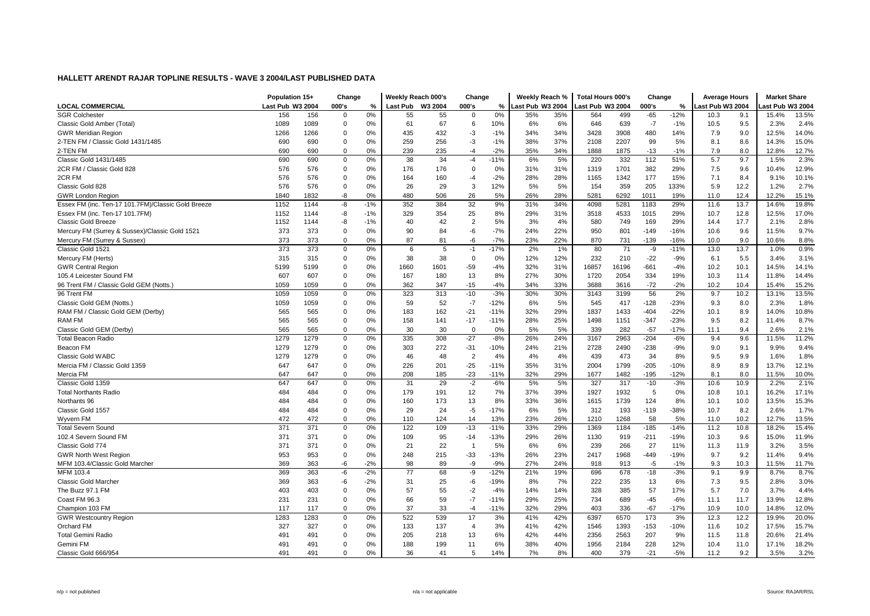|                                                    | Population 15+   |      | Change      |       | Weekly Reach 000's |         | Change         |        | Weekly Reach %   |     | <b>Total Hours 000's</b> |       | Change |        | <b>Average Hours</b> |      | <b>Market Share</b> |       |
|----------------------------------------------------|------------------|------|-------------|-------|--------------------|---------|----------------|--------|------------------|-----|--------------------------|-------|--------|--------|----------------------|------|---------------------|-------|
| <b>LOCAL COMMERCIAL</b>                            | Last Pub W3 2004 |      | 000's       | %     | <b>Last Pub</b>    | W3 2004 | 000's          | %      | Last Pub W3 2004 |     | Last Pub W3 2004         |       | 000's  | %      | ast Pub W3 2004      |      | ast Pub W3 2004     |       |
| <b>SGR Colchester</b>                              | 156              | 156  | $\mathbf 0$ | 0%    | 55                 | 55      | $\Omega$       | 0%     | 35%              | 35% | 564                      | 499   | $-65$  | $-12%$ | 10.3                 | 9.1  | 15.4%               | 13.5% |
| Classic Gold Amber (Total)                         | 1089             | 1089 | $\mathbf 0$ | 0%    | 61                 | 67      | 6              | 10%    | 6%               | 6%  | 646                      | 639   | $-7$   | $-1%$  | 10.5                 | 9.5  | 2.3%                | 2.4%  |
| <b>GWR Meridian Region</b>                         | 1266             | 1266 | $\Omega$    | 0%    | 435                | 432     | $-3$           | $-1%$  | 34%              | 34% | 3428                     | 3908  | 480    | 14%    | 7.9                  | 9.0  | 12.5%               | 14.0% |
| 2-TEN FM / Classic Gold 1431/1485                  | 690              | 690  | 0           | 0%    | 259                | 256     | $-3$           | $-1%$  | 38%              | 37% | 2108                     | 2207  | 99     | 5%     | 8.1                  | 8.6  | 14.3%               | 15.0% |
| 2-TEN FM                                           | 690              | 690  | $\mathbf 0$ | 0%    | 239                | 235     | -4             | $-2%$  | 35%              | 34% | 1888                     | 1875  | $-13$  | $-1%$  | 7.9                  | 8.0  | 12.8%               | 12.7% |
| Classic Gold 1431/1485                             | 690              | 690  | 0           | 0%    | 38                 | 34      | -4             | $-11%$ | 6%               | 5%  | 220                      | 332   | 112    | 51%    | 5.7                  | 9.7  | 1.5%                | 2.3%  |
| 2CR FM / Classic Gold 828                          | 576              | 576  | 0           | 0%    | 176                | 176     | $\mathbf 0$    | 0%     | 31%              | 31% | 1319                     | 1701  | 382    | 29%    | 7.5                  | 9.6  | 10.4%               | 12.9% |
| 2CR FM                                             | 576              | 576  | 0           | 0%    | 164                | 160     | $-4$           | $-2%$  | 28%              | 28% | 1165                     | 1342  | 177    | 15%    | 7.1                  | 8.4  | 9.1%                | 10.1% |
| Classic Gold 828                                   | 576              | 576  | $\mathbf 0$ | 0%    | 26                 | 29      | 3              | 12%    | 5%               | 5%  | 154                      | 359   | 205    | 133%   | 5.9                  | 12.2 | 1.2%                | 2.7%  |
| <b>GWR London Region</b>                           | 1840             | 1832 | -8          | 0%    | 480                | 506     | 26             | 5%     | 26%              | 28% | 5281                     | 6292  | 1011   | 19%    | 11.0                 | 12.4 | 12.2%               | 15.1% |
| Essex FM (inc. Ten-17 101.7FM)/Classic Gold Breeze | 1152             | 1144 | -8          | $-1%$ | 352                | 384     | 32             | 9%     | 31%              | 34% | 4098                     | 5281  | 1183   | 29%    | 11.6                 | 13.7 | 14.6%               | 19.8% |
| Essex FM (inc. Ten-17 101.7FM)                     | 1152             | 1144 | -8          | $-1%$ | 329                | 354     | 25             | 8%     | 29%              | 31% | 3518                     | 4533  | 1015   | 29%    | 10.7                 | 12.8 | 12.5%               | 17.0% |
| <b>Classic Gold Breeze</b>                         | 1152             | 1144 | -8          | $-1%$ | 40                 | 42      | $\overline{2}$ | 5%     | 3%               | 4%  | 580                      | 749   | 169    | 29%    | 14.4                 | 17.7 | 2.1%                | 2.8%  |
| Mercury FM (Surrey & Sussex)/Classic Gold 1521     | 373              | 373  | $\mathbf 0$ | 0%    | 90                 | 84      | -6             | $-7%$  | 24%              | 22% | 950                      | 801   | $-149$ | $-16%$ | 10.6                 | 9.6  | 11.5%               | 9.7%  |
| Mercury FM (Surrey & Sussex)                       | 373              | 373  | $\mathbf 0$ | 0%    | 87                 | 81      | -6             | $-7%$  | 23%              | 22% | 870                      | 731   | $-139$ | $-16%$ | 10.0                 | 9.0  | 10.6%               | 8.8%  |
| Classic Gold 1521                                  | 373              | 373  | $\mathbf 0$ | 0%    | 6                  | 5       | $-1$           | $-17%$ | 2%               | 1%  | 80                       | 71    | -9     | $-11%$ | 13.0                 | 13.7 | 1.0%                | 0.9%  |
| Mercury FM (Herts)                                 | 315              | 315  | 0           | 0%    | 38                 | 38      | $\overline{0}$ | 0%     | 12%              | 12% | 232                      | 210   | $-22$  | $-9%$  | 6.1                  | 5.5  | 3.4%                | 3.1%  |
| <b>GWR Central Regior</b>                          | 5199             | 5199 | 0           | 0%    | 1660               | 1601    | $-59$          | $-4%$  | 32%              | 31% | 16857                    | 16196 | $-661$ | $-4%$  | 10.2                 | 10.1 | 14.5%               | 14.1% |
| 105.4 Leicester Sound FM                           | 607              | 607  | 0           | 0%    | 167                | 180     | 13             | 8%     | 27%              | 30% | 1720                     | 2054  | 334    | 19%    | 10.3                 | 11.4 | 11.8%               | 14.4% |
| 96 Trent FM / Classic Gold GEM (Notts.)            | 1059             | 1059 | $\mathbf 0$ | 0%    | 362                | 347     | $-15$          | $-4%$  | 34%              | 33% | 3688                     | 3616  | $-72$  | $-2%$  | 10.2                 | 10.4 | 15.4%               | 15.2% |
| 96 Trent FM                                        | 1059             | 1059 | $\mathbf 0$ | 0%    | 323                | 313     | $-10$          | $-3%$  | 30%              | 30% | 3143                     | 3199  | 56     | 2%     | 9.7                  | 10.2 | 13.1%               | 13.5% |
| Classic Gold GEM (Notts.)                          | 1059             | 1059 | 0           | 0%    | 59                 | 52      | $-7$           | $-12%$ | 6%               | 5%  | 545                      | 417   | $-128$ | $-23%$ | 9.3                  | 8.0  | 2.3%                | 1.8%  |
| RAM FM / Classic Gold GEM (Derby)                  | 565              | 565  | 0           | 0%    | 183                | 162     | $-21$          | $-11%$ | 32%              | 29% | 1837                     | 1433  | $-404$ | $-22%$ | 10.1                 | 8.9  | 14.0%               | 10.8% |
| <b>RAM FM</b>                                      | 565              | 565  | 0           | 0%    | 158                | 141     | $-17$          | $-11%$ | 28%              | 25% | 1498                     | 1151  | $-347$ | $-23%$ | 9.5                  | 8.2  | 11.4%               | 8.7%  |
| Classic Gold GEM (Derby)                           | 565              | 565  | 0           | 0%    | 30                 | 30      | $\Omega$       | 0%     | 5%               | 5%  | 339                      | 282   | $-57$  | $-17%$ | 11.1                 | 9.4  | 2.6%                | 2.1%  |
| <b>Total Beacon Radio</b>                          | 1279             | 1279 | $\mathbf 0$ | 0%    | 335                | 308     | $-27$          | $-8%$  | 26%              | 24% | 3167                     | 2963  | $-204$ | $-6%$  | 9.4                  | 9.6  | 11.5%               | 11.2% |
| Beacon FM                                          | 1279             | 1279 | $\mathbf 0$ | 0%    | 303                | 272     | $-31$          | $-10%$ | 24%              | 21% | 2728                     | 2490  | $-238$ | $-9%$  | 9.0                  | 9.1  | 9.9%                | 9.4%  |
| <b>Classic Gold WABC</b>                           | 1279             | 1279 | 0           | 0%    | 46                 | 48      | $\overline{2}$ | 4%     | 4%               | 4%  | 439                      | 473   | 34     | 8%     | 9.5                  | 9.9  | 1.6%                | 1.8%  |
| Mercia FM / Classic Gold 1359                      | 647              | 647  | 0           | 0%    | 226                | 201     | $-25$          | $-11%$ | 35%              | 31% | 2004                     | 1799  | $-205$ | $-10%$ | 8.9                  | 8.9  | 13.7%               | 12.1% |
| Mercia FM                                          | 647              | 647  | $\mathbf 0$ | 0%    | 208                | 185     | $-23$          | $-11%$ | 32%              | 29% | 1677                     | 1482  | $-195$ | $-12%$ | 8.1                  | 8.0  | 11.5%               | 10.0% |
| Classic Gold 1359                                  | 647              | 647  | $\mathbf 0$ | 0%    | 31                 | 29      | $-2$           | $-6%$  | 5%               | 5%  | 327                      | 317   | $-10$  | $-3%$  | 10.6                 | 10.9 | 2.2%                | 2.1%  |
| <b>Total Northants Radio</b>                       | 484              | 484  | 0           | 0%    | 179                | 191     | 12             | 7%     | 37%              | 39% | 1927                     | 1932  | 5      | 0%     | 10.8                 | 10.1 | 16.2%               | 17.1% |
| Northants 96                                       | 484              | 484  | $\mathbf 0$ | 0%    | 160                | 173     | 13             | 8%     | 33%              | 36% | 1615                     | 1739  | 124    | 8%     | 10.1                 | 10.0 | 13.5%               | 15.3% |
| Classic Gold 1557                                  | 484              | 484  | 0           | 0%    | 29                 | 24      | $-5$           | $-17%$ | 6%               | 5%  | 312                      | 193   | $-119$ | -38%   | 10.7                 | 8.2  | 2.6%                | 1.7%  |
| Wyvern FM                                          | 472              | 472  | 0           | 0%    | 110                | 124     | 14             | 13%    | 23%              | 26% | 1210                     | 1268  | 58     | 5%     | 11.0                 | 10.2 | 12.7%               | 13.5% |
| <b>Total Severn Sound</b>                          | 371              | 371  | $\mathbf 0$ | 0%    | 122                | 109     | $-13$          | $-11%$ | 33%              | 29% | 1369                     | 1184  | $-185$ | $-14%$ | 11.2                 | 10.8 | 18.2%               | 15.4% |
| 102.4 Severn Sound FM                              | 371              | 371  | 0           | 0%    | 109                | 95      | $-14$          | $-13%$ | 29%              | 26% | 1130                     | 919   | $-211$ | $-19%$ | 10.3                 | 9.6  | 15.0%               | 11.9% |
| Classic Gold 774                                   | 371              | 371  | $\mathbf 0$ | 0%    | 21                 | 22      | $\overline{1}$ | 5%     | 6%               | 6%  | 239                      | 266   | 27     | 11%    | 11.3                 | 11.9 | 3.2%                | 3.5%  |
| <b>GWR North West Region</b>                       | 953              | 953  | $\mathbf 0$ | 0%    | 248                | 215     | $-33$          | $-13%$ | 26%              | 23% | 2417                     | 1968  | $-449$ | $-19%$ | 9.7                  | 9.2  | 11.4%               | 9.4%  |
| MFM 103.4/Classic Gold Marcher                     | 369              | 363  | -6          | $-2%$ | 98                 | 89      | -9             | $-9%$  | 27%              | 24% | 918                      | 913   | $-5$   | $-1%$  | 9.3                  | 10.3 | 11.5%               | 11.7% |
| MFM 103.4                                          | 369              | 363  | -6          | $-2%$ | 77                 | 68      | -9             | $-12%$ | 21%              | 19% | 696                      | 678   | $-18$  | $-3%$  | 9.1                  | 9.9  | 8.7%                | 8.7%  |
| Classic Gold Marcher                               | 369              | 363  | -6          | $-2%$ | 31                 | 25      | -6             | $-19%$ | 8%               | 7%  | 222                      | 235   | 13     | 6%     | 7.3                  | 9.5  | 2.8%                | 3.0%  |
| The Buzz 97.1 FM                                   | 403              | 403  | 0           | 0%    | 57                 | 55      | $-2$           | $-4%$  | 14%              | 14% | 328                      | 385   | 57     | 17%    | 5.7                  | 7.0  | 3.7%                | 4.4%  |
| Coast FM 96.3                                      | 231              | 231  | $\mathbf 0$ | 0%    | 66                 | 59      | $-7$           | $-11%$ | 29%              | 25% | 734                      | 689   | $-45$  | $-6%$  | 11.1                 | 11.7 | 13.9%               | 12.8% |
| Champion 103 FM                                    | 117              | 117  | $\mathbf 0$ | 0%    | 37                 | 33      | $-4$           | $-11%$ | 32%              | 29% | 403                      | 336   | $-67$  | $-17%$ | 10.9                 | 10.0 | 14.8%               | 12.0% |
| <b>GWR Westcountry Region</b>                      | 1283             | 1283 | 0           | 0%    | 522                | 539     | 17             | 3%     | 41%              | 42% | 6397                     | 6570  | 173    | 3%     | 12.3                 | 12.2 | 19.9%               | 20.0% |
| Orchard FM                                         | 327              | 327  | 0           | 0%    | 133                | 137     | $\overline{4}$ | 3%     | 41%              | 42% | 1546                     | 1393  | $-153$ | $-10%$ | 11.6                 | 10.2 | 17.5%               | 15.7% |
| <b>Total Gemini Radio</b>                          | 491              | 491  | 0           | 0%    | 205                | 218     | 13             | 6%     | 42%              | 44% | 2356                     | 2563  | 207    | 9%     | 11.5                 | 11.8 | 20.6%               | 21.4% |
| Gemini FM                                          | 491              | 491  | 0           | 0%    | 188                | 199     | 11             | 6%     | 38%              | 40% | 1956                     | 2184  | 228    | 12%    | 10.4                 | 11.0 | 17.1%               | 18.2% |
| Classic Gold 666/954                               | 491              | 491  | $\Omega$    | 0%    | 36                 | 41      | 5              | 14%    | 7%               | 8%  | 400                      | 379   | $-21$  | $-5%$  | 11.2                 | 9.2  | 3.5%                | 3.2%  |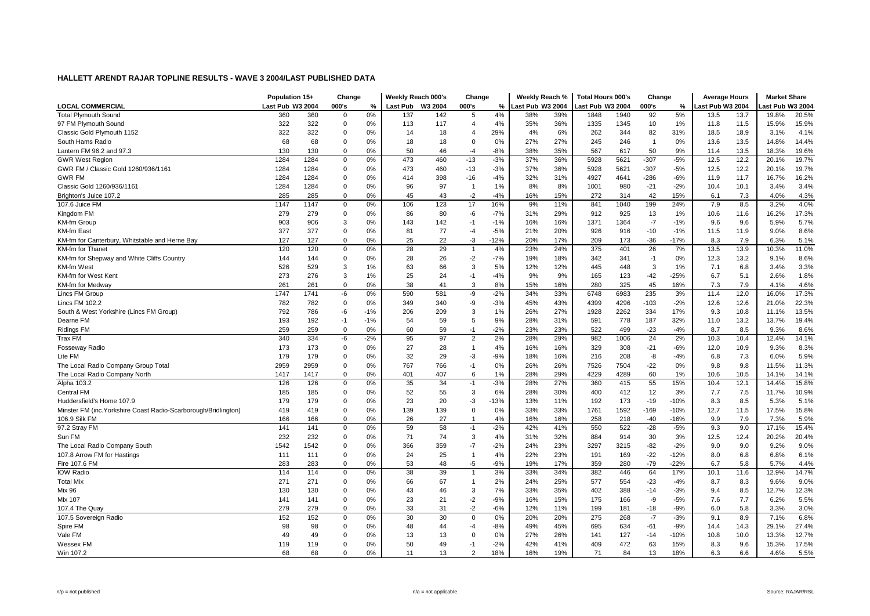|                                                                 | Population 15+   |      | Change      |       | Weekly Reach 000's |         | Change         |        | Weekly Reach %   |     | <b>Total Hours 000's</b> |      | Change         |        | <b>Average Hours</b> |      | <b>Market Share</b> |       |
|-----------------------------------------------------------------|------------------|------|-------------|-------|--------------------|---------|----------------|--------|------------------|-----|--------------------------|------|----------------|--------|----------------------|------|---------------------|-------|
| <b>LOCAL COMMERCIAL</b>                                         | Last Pub W3 2004 |      | 000's       | %     | <b>Last Pub</b>    | W3 2004 | 000's          | %      | Last Pub W3 2004 |     | Last Pub W3 2004         |      | 000's          | %      | ast Pub W3 2004      |      | ast Pub W3 2004     |       |
| <b>Total Plymouth Sound</b>                                     | 360              | 360  | $\Omega$    | 0%    | 137                | 142     | 5              | 4%     | 38%              | 39% | 1848                     | 1940 | 92             | 5%     | 13.5                 | 13.7 | 19.8%               | 20.5% |
| 97 FM Plymouth Sound                                            | 322              | 322  | $\mathbf 0$ | 0%    | 113                | 117     | $\overline{4}$ | 4%     | 35%              | 36% | 1335                     | 1345 | 10             | 1%     | 11.8                 | 11.5 | 15.9%               | 15.9% |
| Classic Gold Plymouth 1152                                      | 322              | 322  | $\mathbf 0$ | 0%    | 14                 | 18      | $\overline{4}$ | 29%    | 4%               | 6%  | 262                      | 344  | 82             | 31%    | 18.5                 | 18.9 | 3.1%                | 4.1%  |
| South Hams Radio                                                | 68               | 68   | $\mathbf 0$ | 0%    | 18                 | 18      | $\Omega$       | 0%     | 27%              | 27% | 245                      | 246  | $\overline{1}$ | 0%     | 13.6                 | 13.5 | 14.8%               | 14.4% |
| Lantern FM 96.2 and 97.3                                        | 130              | 130  | $\Omega$    | 0%    | 50                 | 46      | $-4$           | $-8%$  | 38%              | 35% | 567                      | 617  | 50             | 9%     | 11.4                 | 13.5 | 18.3%               | 19.6% |
| <b>GWR West Region</b>                                          | 1284             | 1284 | $\mathbf 0$ | 0%    | 473                | 460     | $-13$          | $-3%$  | 37%              | 36% | 5928                     | 5621 | $-307$         | $-5%$  | 12.5                 | 12.2 | 20.1%               | 19.7% |
| GWR FM / Classic Gold 1260/936/1161                             | 1284             | 1284 | $\mathbf 0$ | 0%    | 473                | 460     | $-13$          | $-3%$  | 37%              | 36% | 5928                     | 5621 | $-307$         | $-5%$  | 12.5                 | 12.2 | 20.1%               | 19.7% |
| <b>GWR FM</b>                                                   | 1284             | 1284 | $\mathbf 0$ | 0%    | 414                | 398     | $-16$          | $-4%$  | 32%              | 31% | 4927                     | 4641 | $-286$         | $-6%$  | 11.9                 | 11.7 | 16.7%               | 16.2% |
| Classic Gold 1260/936/1161                                      | 1284             | 1284 | $\Omega$    | 0%    | 96                 | 97      | $\overline{1}$ | 1%     | 8%               | 8%  | 1001                     | 980  | $-21$          | $-2%$  | 10.4                 | 10.1 | 3.4%                | 3.4%  |
| Brighton's Juice 107.2                                          | 285              | 285  | $\Omega$    | 0%    | 45                 | 43      | $-2$           | $-4%$  | 16%              | 15% | 272                      | 314  | 42             | 15%    | 6.1                  | 7.3  | 4.0%                | 4.3%  |
| 107.6 Juice FM                                                  | 1147             | 1147 | $\mathbf 0$ | 0%    | 106                | 123     | 17             | 16%    | 9%               | 11% | 841                      | 1040 | 199            | 24%    | 7.9                  | 8.5  | 3.2%                | 4.0%  |
| Kingdom FM                                                      | 279              | 279  | $\mathbf 0$ | 0%    | 86                 | 80      | -6             | $-7%$  | 31%              | 29% | 912                      | 925  | 13             | 1%     | 10.6                 | 11.6 | 16.2%               | 17.3% |
| <b>KM-fm Group</b>                                              | 903              | 906  | 3           | 0%    | 143                | 142     | $-1$           | $-1%$  | 16%              | 16% | 1371                     | 1364 | $-7$           | $-1%$  | 9.6                  | 9.6  | 5.9%                | 5.7%  |
| <b>KM-fm East</b>                                               | 377              | 377  | $\mathbf 0$ | 0%    | 81                 | 77      | $-4$           | $-5%$  | 21%              | 20% | 926                      | 916  | $-10$          | $-1%$  | 11.5                 | 11.9 | 9.0%                | 8.6%  |
| KM-fm for Canterbury, Whitstable and Herne Bay                  | 127              | 127  | $\Omega$    | 0%    | 25                 | 22      | -3             | $-12%$ | 20%              | 17% | 209                      | 173  | $-36$          | $-17%$ | 8.3                  | 7.9  | 6.3%                | 5.1%  |
| KM-fm for Thanet                                                | 120              | 120  | $\mathbf 0$ | 0%    | 28                 | 29      | $\overline{1}$ | 4%     | 23%              | 24% | 375                      | 401  | 26             | 7%     | 13.5                 | 13.9 | 10.3%               | 11.0% |
| KM-fm for Shepway and White Cliffs Country                      | 144              | 144  | $\Omega$    | 0%    | 28                 | 26      | $-2$           | $-7%$  | 19%              | 18% | 342                      | 341  | $-1$           | 0%     | 12.3                 | 13.2 | 9.1%                | 8.6%  |
| KM-fm West                                                      | 526              | 529  | 3           | 1%    | 63                 | 66      | 3              | 5%     | 12%              | 12% | 445                      | 448  | 3              | 1%     | 7.1                  | 6.8  | 3.4%                | 3.3%  |
| KM-fm for West Kent                                             | 273              | 276  | 3           | 1%    | 25                 | 24      | $-1$           | $-4%$  | 9%               | 9%  | 165                      | 123  | $-42$          | $-25%$ | 6.7                  | 5.1  | 2.6%                | 1.8%  |
| KM-fm for Medway                                                | 261              | 261  | $\mathbf 0$ | 0%    | 38                 | 41      | 3              | 8%     | 15%              | 16% | 280                      | 325  | 45             | 16%    | 7.3                  | 7.9  | 4.1%                | 4.6%  |
| Lincs FM Group                                                  | 1747             | 1741 | -6          | 0%    | 590                | 581     | -9             | $-2%$  | 34%              | 33% | 6748                     | 6983 | 235            | 3%     | 11.4                 | 12.0 | 16.0%               | 17.3% |
| <b>Lincs FM 102.2</b>                                           | 782              | 782  | $\mathbf 0$ | 0%    | 349                | 340     | -9             | $-3%$  | 45%              | 43% | 4399                     | 4296 | $-103$         | $-2%$  | 12.6                 | 12.6 | 21.0%               | 22.3% |
| South & West Yorkshire (Lincs FM Group)                         | 792              | 786  | -6          | $-1%$ | 206                | 209     | 3              | 1%     | 26%              | 27% | 1928                     | 2262 | 334            | 17%    | 9.3                  | 10.8 | 11.1%               | 13.5% |
| Dearne FM                                                       | 193              | 192  | $-1$        | $-1%$ | 54                 | 59      | 5              | 9%     | 28%              | 31% | 591                      | 778  | 187            | 32%    | 11.0                 | 13.2 | 13.7%               | 19.4% |
| <b>Ridings FM</b>                                               | 259              | 259  | 0           | 0%    | 60                 | 59      | $-1$           | $-2%$  | 23%              | 23% | 522                      | 499  | $-23$          | $-4%$  | 8.7                  | 8.5  | 9.3%                | 8.6%  |
| <b>Trax FM</b>                                                  | 340              | 334  | -6          | $-2%$ | 95                 | 97      | $\overline{2}$ | 2%     | 28%              | 29% | 982                      | 1006 | 24             | 2%     | 10.3                 | 10.4 | 12.4%               | 14.1% |
| <b>Fosseway Radio</b>                                           | 173              | 173  | $\mathbf 0$ | 0%    | 27                 | 28      | $\overline{1}$ | 4%     | 16%              | 16% | 329                      | 308  | $-21$          | $-6%$  | 12.0                 | 10.9 | 9.3%                | 8.3%  |
| Lite FM                                                         | 179              | 179  | $\mathbf 0$ | 0%    | 32                 | 29      | -3             | $-9%$  | 18%              | 16% | 216                      | 208  | -8             | $-4%$  | 6.8                  | 7.3  | 6.0%                | 5.9%  |
| The Local Radio Company Group Total                             | 2959             | 2959 | $\mathbf 0$ | 0%    | 767                | 766     | $-1$           | 0%     | 26%              | 26% | 7526                     | 7504 | $-22$          | 0%     | 9.8                  | 9.8  | 11.5%               | 11.3% |
| The Local Radio Company North                                   | 1417             | 1417 | $\Omega$    | 0%    | 401                | 407     | 6              | 1%     | 28%              | 29% | 4229                     | 4289 | 60             | 1%     | 10.6                 | 10.5 | 14.1%               | 14.1% |
| Alpha 103.2                                                     | 126              | 126  | $\mathbf 0$ | 0%    | 35                 | 34      | $-1$           | $-3%$  | 28%              | 27% | 360                      | 415  | 55             | 15%    | 10.4                 | 12.1 | 14.4%               | 15.8% |
| <b>Central FM</b>                                               | 185              | 185  | 0           | 0%    | 52                 | 55      | 3              | 6%     | 28%              | 30% | 400                      | 412  | 12             | 3%     | 7.7                  | 7.5  | 11.7%               | 10.9% |
| Huddersfield's Home 107.9                                       | 179              | 179  | $\mathbf 0$ | 0%    | 23                 | 20      | -3             | $-13%$ | 13%              | 11% | 192                      | 173  | $-19$          | $-10%$ | 8.3                  | 8.5  | 5.3%                | 5.1%  |
| Minster FM (inc. Yorkshire Coast Radio-Scarborough/Bridlington) | 419              | 419  | $\mathbf 0$ | 0%    | 139                | 139     | $\overline{0}$ | 0%     | 33%              | 33% | 1761                     | 1592 | $-169$         | $-10%$ | 12.7                 | 11.5 | 17.5%               | 15.8% |
| 106.9 Silk FM                                                   | 166              | 166  | $\Omega$    | 0%    | 26                 | 27      | $\overline{1}$ | 4%     | 16%              | 16% | 258                      | 218  | $-40$          | $-16%$ | 9.9                  | 7.9  | 7.3%                | 5.9%  |
| 97.2 Stray FM                                                   | 141              | 141  | $\mathbf 0$ | 0%    | 59                 | 58      | $-1$           | $-2%$  | 42%              | 41% | 550                      | 522  | $-28$          | $-5%$  | 9.3                  | 9.0  | 17.1%               | 15.4% |
| Sun FM                                                          | 232              | 232  | $\mathbf 0$ | 0%    | 71                 | 74      | 3              | 4%     | 31%              | 32% | 884                      | 914  | 30             | 3%     | 12.5                 | 12.4 | 20.2%               | 20.4% |
| The Local Radio Company South                                   | 1542             | 1542 | $\mathbf 0$ | 0%    | 366                | 359     | $-7$           | $-2%$  | 24%              | 23% | 3297                     | 3215 | $-82$          | $-2%$  | 9.0                  | 9.0  | 9.2%                | 9.0%  |
| 107.8 Arrow FM for Hastings                                     | 111              | 111  | $\mathbf 0$ | 0%    | 24                 | 25      | $\overline{1}$ | 4%     | 22%              | 23% | 191                      | 169  | $-22$          | $-12%$ | 8.0                  | 6.8  | 6.8%                | 6.1%  |
| Fire 107.6 FM                                                   | 283              | 283  | $\Omega$    | 0%    | 53                 | 48      | -5             | $-9%$  | 19%              | 17% | 359                      | 280  | $-79$          | $-22%$ | 6.7                  | 5.8  | 5.7%                | 4.4%  |
| <b>IOW Radio</b>                                                | 114              | 114  | 0           | 0%    | 38                 | 39      | $\overline{1}$ | 3%     | 33%              | 34% | 382                      | 446  | 64             | 17%    | 10.1                 | 11.6 | 12.9%               | 14.7% |
| <b>Total Mix</b>                                                | 271              | 271  | $\Omega$    | 0%    | 66                 | 67      | $\overline{1}$ | 2%     | 24%              | 25% | 577                      | 554  | $-23$          | $-4%$  | 8.7                  | 8.3  | 9.6%                | 9.0%  |
| <b>Mix 96</b>                                                   | 130              | 130  | $\Omega$    | 0%    | 43                 | 46      | 3              | 7%     | 33%              | 35% | 402                      | 388  | $-14$          | $-3%$  | 9.4                  | 8.5  | 12.7%               | 12.3% |
| <b>Mix 107</b>                                                  | 141              | 141  | $\mathbf 0$ | 0%    | 23                 | 21      | $-2$           | $-9%$  | 16%              | 15% | 175                      | 166  | -9             | $-5%$  | 7.6                  | 7.7  | 6.2%                | 5.5%  |
| 107.4 The Quay                                                  | 279              | 279  | $\Omega$    | 0%    | 33                 | 31      | $-2$           | $-6%$  | 12%              | 11% | 199                      | 181  | $-18$          | $-9%$  | 6.0                  | 5.8  | 3.3%                | 3.0%  |
| 107.5 Sovereign Radio                                           | 152              | 152  | $\mathbf 0$ | 0%    | 30                 | 30      | $\mathbf 0$    | 0%     | 20%              | 20% | 275                      | 268  | $-7$           | $-3%$  | 9.1                  | 8.9  | 7.1%                | 6.8%  |
| Spire FM                                                        | 98               | 98   | $\mathbf 0$ | 0%    | 48                 | 44      | $-4$           | $-8%$  | 49%              | 45% | 695                      | 634  | $-61$          | $-9%$  | 14.4                 | 14.3 | 29.1%               | 27.4% |
| Vale FM                                                         | 49               | 49   | $\mathbf 0$ | 0%    | 13                 | 13      | $\Omega$       | 0%     | 27%              | 26% | 141                      | 127  | $-14$          | $-10%$ | 10.8                 | 10.0 | 13.3%               | 12.7% |
| Wessex FM                                                       | 119              | 119  | $\Omega$    | 0%    | 50                 | 49      | $-1$           | $-2%$  | 42%              | 41% | 409                      | 472  | 63             | 15%    | 8.3                  | 9.6  | 15.3%               | 17.5% |
| Win 107.2                                                       | 68               | 68   | $\Omega$    | 0%    | 11                 | 13      | $\overline{2}$ | 18%    | 16%              | 19% | 71                       | 84   | 13             | 18%    | 6.3                  | 6.6  | 4.6%                | 5.5%  |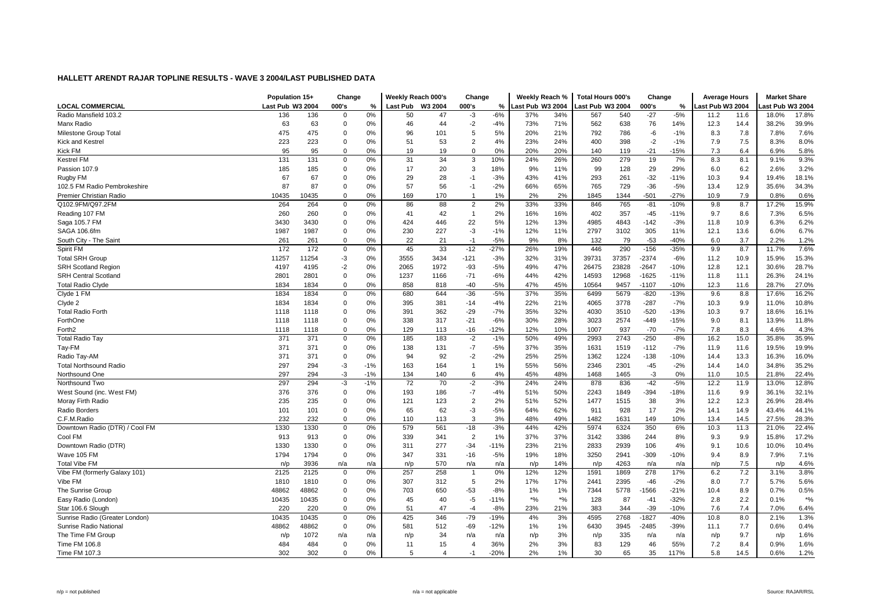|                                | Population 15+   |       | Change      |       | Weekly Reach 000's |                | Change         |               | Weekly Reach %   |       | <b>Total Hours 000's</b> |       | Change  |        | <b>Average Hours</b> |      | <b>Market Share</b> |        |
|--------------------------------|------------------|-------|-------------|-------|--------------------|----------------|----------------|---------------|------------------|-------|--------------------------|-------|---------|--------|----------------------|------|---------------------|--------|
| <b>LOCAL COMMERCIAL</b>        | Last Pub W3 2004 |       | 000's       | %     | <b>Last Pub</b>    | W3 2004        | 000's          | $\frac{9}{6}$ | Last Pub W3 2004 |       | Last Pub W3 2004         |       | 000's   | $\%$   | ast Pub W3 2004      |      | ast Pub W3 2004     |        |
| Radio Mansfield 103.2          | 136              | 136   | 0           | 0%    | 50                 | 47             | -3             | $-6%$         | 37%              | 34%   | 567                      | 540   | $-27$   | $-5%$  | 11.2                 | 11.6 | 18.0%               | 17.8%  |
| Manx Radio                     | 63               | 63    | $\mathbf 0$ | 0%    | 46                 | 44             | $-2$           | $-4%$         | 73%              | 71%   | 562                      | 638   | 76      | 14%    | 12.3                 | 14.4 | 38.2%               | 39.9%  |
| Milestone Group Total          | 475              | 475   | $\Omega$    | 0%    | 96                 | 101            | 5              | 5%            | 20%              | 21%   | 792                      | 786   | -6      | $-1%$  | 8.3                  | 7.8  | 7.8%                | 7.6%   |
| Kick and Kestrel               | 223              | 223   | $\mathbf 0$ | 0%    | 51                 | 53             | $\overline{2}$ | 4%            | 23%              | 24%   | 400                      | 398   | $-2$    | $-1%$  | 7.9                  | 7.5  | 8.3%                | 8.0%   |
| <b>Kick FM</b>                 | 95               | 95    | $\Omega$    | 0%    | 19                 | 19             | $\mathbf 0$    | 0%            | 20%              | 20%   | 140                      | 119   | $-21$   | $-15%$ | 7.3                  | 6.4  | 6.9%                | 5.8%   |
| <b>Kestrel FM</b>              | 131              | 131   | 0           | 0%    | 31                 | 34             | 3              | 10%           | 24%              | 26%   | 260                      | 279   | 19      | 7%     | 8.3                  | 8.1  | 9.1%                | 9.3%   |
| Passion 107.9                  | 185              | 185   | $\mathbf 0$ | 0%    | 17                 | 20             | 3              | 18%           | 9%               | 11%   | 99                       | 128   | 29      | 29%    | 6.0                  | 6.2  | 2.6%                | 3.2%   |
| Rugby FM                       | 67               | 67    | $\mathbf 0$ | 0%    | 29                 | 28             | $-1$           | $-3%$         | 43%              | 41%   | 293                      | 261   | $-32$   | $-11%$ | 10.3                 | 9.4  | 19.4%               | 18.1%  |
| 102.5 FM Radio Pembrokeshire   | 87               | 87    | $\Omega$    | 0%    | 57                 | 56             | $-1$           | $-2%$         | 66%              | 65%   | 765                      | 729   | $-36$   | $-5%$  | 13.4                 | 12.9 | 35.6%               | 34.3%  |
| Premier Christian Radio        | 10435            | 10435 | $\mathbf 0$ | 0%    | 169                | 170            | $\overline{1}$ | 1%            | 2%               | 2%    | 1845                     | 1344  | $-501$  | $-27%$ | 10.9                 | 7.9  | 0.8%                | 0.6%   |
| Q102.9FM/Q97.2FM               | 264              | 264   | 0           | 0%    | 86                 | 88             | $\overline{2}$ | 2%            | 33%              | 33%   | 846                      | 765   | $-81$   | $-10%$ | 9.8                  | 8.7  | 17.2%               | 15.9%  |
| Reading 107 FM                 | 260              | 260   | 0           | 0%    | 41                 | 42             | $\overline{1}$ | 2%            | 16%              | 16%   | 402                      | 357   | $-45$   | $-11%$ | 9.7                  | 8.6  | 7.3%                | 6.5%   |
| Saga 105.7 FM                  | 3430             | 3430  | 0           | 0%    | 424                | 446            | 22             | 5%            | 12%              | 13%   | 4985                     | 4843  | $-142$  | $-3%$  | 11.8                 | 10.9 | 6.3%                | 6.2%   |
| SAGA 106.6fm                   | 1987             | 1987  | $\mathbf 0$ | 0%    | 230                | 227            | -3             | $-1%$         | 12%              | 11%   | 2797                     | 3102  | 305     | 11%    | 12.1                 | 13.6 | 6.0%                | 6.7%   |
| South City - The Saint         | 261              | 261   | $\mathbf 0$ | 0%    | 22                 | 21             | $-1$           | $-5%$         | 9%               | 8%    | 132                      | 79    | $-53$   | $-40%$ | 6.0                  | 3.7  | 2.2%                | 1.2%   |
| Spirit FM                      | 172              | 172   | $\mathbf 0$ | 0%    | 45                 | 33             | $-12$          | $-27%$        | 26%              | 19%   | 446                      | 290   | $-156$  | $-35%$ | 9.9                  | 8.7  | 11.7%               | 7.6%   |
| <b>Total SRH Group</b>         | 11257            | 11254 | $-3$        | 0%    | 3555               | 3434           | $-121$         | $-3%$         | 32%              | 31%   | 39731                    | 37357 | $-2374$ | $-6%$  | 11.2                 | 10.9 | 15.9%               | 15.3%  |
| <b>SRH Scotland Region</b>     | 4197             | 4195  | $-2$        | 0%    | 2065               | 1972           | $-93$          | $-5%$         | 49%              | 47%   | 26475                    | 23828 | $-2647$ | $-10%$ | 12.8                 | 12.1 | 30.6%               | 28.7%  |
| <b>SRH Central Scotland</b>    | 2801             | 2801  | $\mathbf 0$ | 0%    | 1237               | 1166           | $-71$          | $-6%$         | 44%              | 42%   | 14593                    | 12968 | $-1625$ | $-11%$ | 11.8                 | 11.1 | 26.3%               | 24.1%  |
| <b>Total Radio Clyde</b>       | 1834             | 1834  | $\Omega$    | 0%    | 858                | 818            | $-40$          | $-5%$         | 47%              | 45%   | 10564                    | 9457  | $-1107$ | $-10%$ | 12.3                 | 11.6 | 28.7%               | 27.0%  |
| Clyde 1 FM                     | 1834             | 1834  | $\mathbf 0$ | 0%    | 680                | 644            | $-36$          | $-5%$         | 37%              | 35%   | 6499                     | 5679  | $-820$  | $-13%$ | 9.6                  | 8.8  | 17.6%               | 16.2%  |
| Clyde 2                        | 1834             | 1834  | $\mathbf 0$ | 0%    | 395                | 381            | $-14$          | $-4%$         | 22%              | 21%   | 4065                     | 3778  | $-287$  | $-7%$  | 10.3                 | 9.9  | 11.0%               | 10.8%  |
| <b>Total Radio Forth</b>       | 1118             | 1118  | $\mathbf 0$ | 0%    | 391                | 362            | $-29$          | $-7%$         | 35%              | 32%   | 4030                     | 3510  | $-520$  | $-13%$ | 10.3                 | 9.7  | 18.6%               | 16.1%  |
| ForthOne                       | 1118             | 1118  | $\Omega$    | 0%    | 338                | 317            | $-21$          | $-6%$         | 30%              | 28%   | 3023                     | 2574  | $-449$  | $-15%$ | 9.0                  | 8.1  | 13.9%               | 11.8%  |
| Forth <sub>2</sub>             | 1118             | 1118  | $\Omega$    | 0%    | 129                | 113            | $-16$          | $-12%$        | 12%              | 10%   | 1007                     | 937   | $-70$   | $-7%$  | 7.8                  | 8.3  | 4.6%                | 4.3%   |
| <b>Total Radio Tay</b>         | 371              | 371   | $\mathbf 0$ | 0%    | 185                | 183            | $-2$           | $-1%$         | 50%              | 49%   | 2993                     | 2743  | $-250$  | $-8%$  | 16.2                 | 15.0 | 35.8%               | 35.9%  |
| Tay-FM                         | 371              | 371   | $\mathbf 0$ | 0%    | 138                | 131            | $-7$           | $-5%$         | 37%              | 35%   | 1631                     | 1519  | $-112$  | $-7%$  | 11.9                 | 11.6 | 19.5%               | 19.9%  |
| Radio Tay-AM                   | 371              | 371   | $\mathbf 0$ | 0%    | 94                 | 92             | -2             | $-2%$         | 25%              | 25%   | 1362                     | 1224  | $-138$  | $-10%$ | 14.4                 | 13.3 | 16.3%               | 16.0%  |
| <b>Total Northsound Radio</b>  | 297              | 294   | $-3$        | $-1%$ | 163                | 164            | $\overline{1}$ | 1%            | 55%              | 56%   | 2346                     | 2301  | $-45$   | $-2%$  | 14.4                 | 14.0 | 34.8%               | 35.2%  |
| Northsound One                 | 297              | 294   | $-3$        | $-1%$ | 134                | 140            | 6              | 4%            | 45%              | 48%   | 1468                     | 1465  | -3      | 0%     | 11.0                 | 10.5 | 21.8%               | 22.4%  |
| Northsound Two                 | 297              | 294   | $-3$        | $-1%$ | 72                 | 70             | $-2$           | $-3%$         | 24%              | 24%   | 878                      | 836   | $-42$   | $-5%$  | 12.2                 | 11.9 | 13.0%               | 12.8%  |
| West Sound (inc. West FM)      | 376              | 376   | $\mathbf 0$ | 0%    | 193                | 186            | $-7$           | $-4%$         | 51%              | 50%   | 2243                     | 1849  | $-394$  | $-18%$ | 11.6                 | 9.9  | 36.1%               | 32.1%  |
| Moray Firth Radio              | 235              | 235   | $\mathbf 0$ | 0%    | 121                | 123            | $\overline{2}$ | 2%            | 51%              | 52%   | 1477                     | 1515  | 38      | 3%     | 12.2                 | 12.3 | 26.9%               | 28.4%  |
| Radio Borders                  | 101              | 101   | 0           | 0%    | 65                 | 62             | $-3$           | $-5%$         | 64%              | 62%   | 911                      | 928   | 17      | 2%     | 14.1                 | 14.9 | 43.4%               | 44.1%  |
| C.F.M.Radio                    | 232              | 232   | $\Omega$    | 0%    | 110                | 113            | 3              | 3%            | 48%              | 49%   | 1482                     | 1631  | 149     | 10%    | 13.4                 | 14.5 | 27.5%               | 28.3%  |
| Downtown Radio (DTR) / Cool FM | 1330             | 1330  | 0           | 0%    | 579                | 561            | $-18$          | $-3%$         | 44%              | 42%   | 5974                     | 6324  | 350     | 6%     | 10.3                 | 11.3 | 21.0%               | 22.4%  |
| Cool FM                        | 913              | 913   | 0           | 0%    | 339                | 341            | $\overline{2}$ | 1%            | 37%              | 37%   | 3142                     | 3386  | 244     | 8%     | 9.3                  | 9.9  | 15.8%               | 17.2%  |
| Downtown Radio (DTR)           | 1330             | 1330  | 0           | 0%    | 311                | 277            | $-34$          | $-11%$        | 23%              | 21%   | 2833                     | 2939  | 106     | 4%     | 9.1                  | 10.6 | 10.0%               | 10.4%  |
| Wave 105 FM                    | 1794             | 1794  | $\mathbf 0$ | 0%    | 347                | 331            | $-16$          | $-5%$         | 19%              | 18%   | 3250                     | 2941  | $-309$  | $-10%$ | 9.4                  | 8.9  | 7.9%                | 7.1%   |
| <b>Total Vibe FM</b>           | n/p              | 3936  | n/a         | n/a   | n/p                | 570            | n/a            | n/a           | n/p              | 14%   | n/p                      | 4263  | n/a     | n/a    | n/p                  | 7.5  | n/p                 | 4.6%   |
| Vibe FM (formerly Galaxy 101)  | 2125             | 2125  | 0           | 0%    | 257                | 258            | $\overline{1}$ | 0%            | 12%              | 12%   | 1591                     | 1869  | 278     | 17%    | 6.2                  | 7.2  | 3.1%                | 3.8%   |
| Vibe FM                        | 1810             | 1810  | $\mathbf 0$ | 0%    | 307                | 312            | 5              | 2%            | 17%              | 17%   | 2441                     | 2395  | $-46$   | $-2%$  | 8.0                  | 7.7  | 5.7%                | 5.6%   |
| The Sunrise Group              | 48862            | 48862 | $\mathbf 0$ | 0%    | 703                | 650            | $-53$          | $-8%$         | 1%               | 1%    | 7344                     | 5778  | $-1566$ | $-21%$ | 10.4                 | 8.9  | 0.7%                | 0.5%   |
| Easy Radio (London)            | 10435            | 10435 | $\mathbf 0$ | 0%    | 45                 | 40             | $-5$           | $-11%$        | $*9/6$           | $*96$ | 128                      | 87    | $-41$   | $-32%$ | 2.8                  | 2.2  | 0.1%                | $*9/0$ |
| Star 106.6 Slough              | 220              | 220   | $\mathbf 0$ | 0%    | 51                 | 47             | $-4$           | $-8%$         | 23%              | 21%   | 383                      | 344   | $-39$   | $-10%$ | 7.6                  | 7.4  | 7.0%                | 6.4%   |
| Sunrise Radio (Greater London) | 10435            | 10435 | 0           | 0%    | 425                | 346            | $-79$          | $-19%$        | 4%               | 3%    | 4595                     | 2768  | $-1827$ | $-40%$ | 10.8                 | 8.0  | 2.1%                | 1.3%   |
| Sunrise Radio National         | 48862            | 48862 | 0           | 0%    | 581                | 512            | $-69$          | $-12%$        | 1%               | 1%    | 6430                     | 3945  | $-2485$ | $-39%$ | 11.1                 | 7.7  | 0.6%                | 0.4%   |
| The Time FM Group              | n/p              | 1072  | n/a         | n/a   | n/p                | 34             | n/a            | n/a           | n/p              | 3%    | n/p                      | 335   | n/a     | n/a    | n/p                  | 9.7  | n/p                 | 1.6%   |
| Time FM 106.8                  | 484              | 484   | $\Omega$    | 0%    | 11                 | 15             | $\overline{4}$ | 36%           | 2%               | 3%    | 83                       | 129   | 46      | 55%    | 7.2                  | 8.4  | 0.9%                | 1.6%   |
| Time FM 107.3                  | 302              | 302   | $\Omega$    | 0%    | 5                  | $\overline{4}$ | $-1$           | $-20%$        | 2%               | 1%    | 30                       | 65    | 35      | 117%   | 5.8                  | 14.5 | 0.6%                | 1.2%   |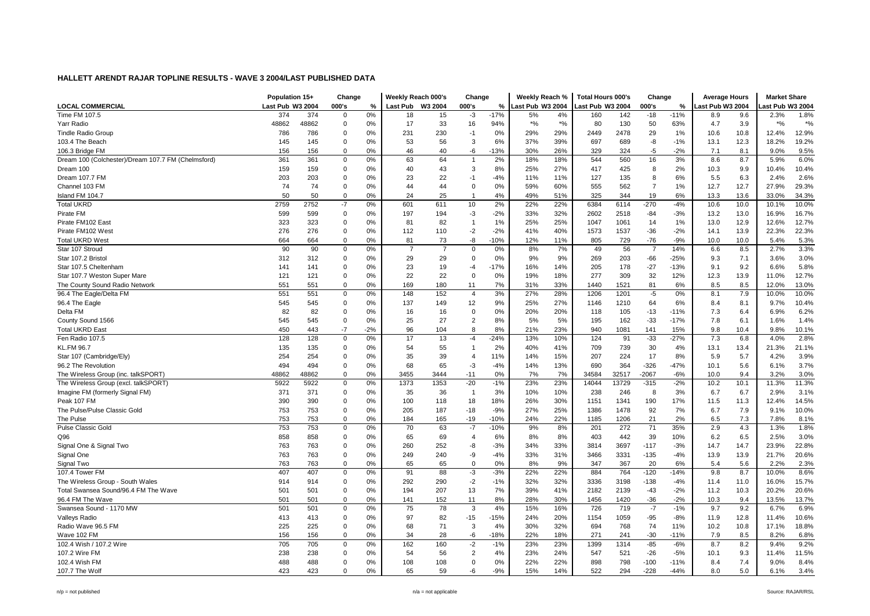|                                                    | Population 15+   |       | Change      |          | Weekly Reach 000's |                | Change         |               | Weekly Reach %   |        | <b>Total Hours 000's</b> |       | Change         |        | <b>Average Hours</b> |      | <b>Market Share</b> |       |
|----------------------------------------------------|------------------|-------|-------------|----------|--------------------|----------------|----------------|---------------|------------------|--------|--------------------------|-------|----------------|--------|----------------------|------|---------------------|-------|
| <b>LOCAL COMMERCIAL</b>                            | Last Pub W3 2004 |       | 000's       | %        | Last Pub W3 2004   |                | 000's          | $\frac{9}{6}$ | Last Pub W3 2004 |        | Last Pub W3 2004         |       | 000's          | %      | Last Pub W3 2004     |      | ast Pub W3 2004     |       |
| Time FM 107.5                                      | 374              | 374   | $\mathbf 0$ | 0%       | 18                 | 15             | -3             | $-17%$        | 5%               | 4%     | 160                      | 142   | $-18$          | $-11%$ | 8.9                  | 9.6  | 2.3%                | 1.8%  |
| Yarr Radio                                         | 48862            | 48862 | 0           | 0%       | 17                 | 33             | 16             | 94%           | $*9/6$           | $*9/6$ | 80                       | 130   | 50             | 63%    | 4.7                  | 3.9  | $*9/6$              | $*$ % |
| <b>Tindle Radio Group</b>                          | 786              | 786   | $\mathbf 0$ | 0%       | 231                | 230            | $-1$           | 0%            | 29%              | 29%    | 2449                     | 2478  | 29             | 1%     | 10.6                 | 10.8 | 12.4%               | 12.9% |
| 103.4 The Beach                                    | 145              | 145   | 0           | 0%       | 53                 | 56             | 3              | 6%            | 37%              | 39%    | 697                      | 689   | -8             | $-1%$  | 13.1                 | 12.3 | 18.2%               | 19.2% |
| 106.3 Bridge FM                                    | 156              | 156   | $\mathbf 0$ | 0%       | 46                 | 40             | -6             | $-13%$        | 30%              | 26%    | 329                      | 324   | $-5$           | $-2%$  | 7.1                  | 8.1  | 9.0%                | 9.5%  |
| Dream 100 (Colchester)/Dream 107.7 FM (Chelmsford) | 361              | 361   | 0           | 0%       | 63                 | 64             | $\overline{1}$ | 2%            | 18%              | 18%    | 544                      | 560   | 16             | 3%     | 8.6                  | 8.7  | 5.9%                | 6.0%  |
| Dream 100                                          | 159              | 159   | $\mathbf 0$ | 0%       | 40                 | 43             | 3              | 8%            | 25%              | 27%    | 417                      | 425   | 8              | 2%     | 10.3                 | 9.9  | 10.4%               | 10.4% |
| Dream 107.7 FM                                     | 203              | 203   | $\mathbf 0$ | 0%       | 23                 | 22             | $-1$           | $-4%$         | 11%              | 11%    | 127                      | 135   | 8              | 6%     | 5.5                  | 6.3  | 2.4%                | 2.6%  |
| Channel 103 FM                                     | 74               | 74    | $\mathbf 0$ | 0%       | 44                 | 44             | $\overline{0}$ | 0%            | 59%              | 60%    | 555                      | 562   | $\overline{7}$ | 1%     | 12.7                 | 12.7 | 27.9%               | 29.3% |
| Island FM 104.7                                    | 50               | 50    | $\mathbf 0$ | 0%       | 24                 | 25             | $\overline{1}$ | 4%            | 49%              | 51%    | 325                      | 344   | 19             | 6%     | 13.3                 | 13.6 | 33.0%               | 34.3% |
| <b>Total UKRD</b>                                  | 2759             | 2752  | $-7$        | 0%       | 601                | 611            | 10             | 2%            | 22%              | 22%    | 6384                     | 6114  | $-270$         | $-4%$  | 10.6                 | 10.0 | 10.1%               | 10.0% |
| Pirate FM                                          | 599              | 599   | 0           | 0%       | 197                | 194            | -3             | $-2%$         | 33%              | 32%    | 2602                     | 2518  | $-84$          | $-3%$  | 13.2                 | 13.0 | 16.9%               | 16.7% |
| Pirate FM102 East                                  | 323              | 323   | $\mathbf 0$ | 0%       | 81                 | 82             | $\overline{1}$ | 1%            | 25%              | 25%    | 1047                     | 1061  | 14             | 1%     | 13.0                 | 12.9 | 12.6%               | 12.7% |
| Pirate FM102 West                                  | 276              | 276   | 0           | 0%       | 112                | 110            | $-2$           | $-2%$         | 41%              | 40%    | 1573                     | 1537  | $-36$          | $-2%$  | 14.1                 | 13.9 | 22.3%               | 22.3% |
| <b>Total UKRD West</b>                             | 664              | 664   | $\mathbf 0$ | 0%       | 81                 | 73             | -8             | $-10%$        | 12%              | 11%    | 805                      | 729   | $-76$          | $-9%$  | 10.0                 | 10.0 | 5.4%                | 5.3%  |
| Star 107 Stroud                                    | 90               | 90    | $\mathbf 0$ | 0%       | $\overline{7}$     | $\overline{7}$ | $\mathbf 0$    | 0%            | 8%               | 7%     | 49                       | 56    | $\overline{7}$ | 14%    | 6.6                  | 8.5  | 2.7%                | 3.3%  |
| Star 107.2 Bristo                                  | 312              | 312   | $\mathbf 0$ | 0%       | 29                 | 29             | $\mathbf 0$    |               | 9%               | 9%     | 269                      |       |                | $-25%$ |                      | 7.1  | 3.6%                | 3.0%  |
|                                                    |                  |       |             |          | 23                 |                |                | 0%            |                  | 14%    |                          | 203   | $-66$          |        | 9.3                  | 9.2  |                     |       |
| Star 107.5 Cheltenham                              | 141              | 141   | $\mathbf 0$ | 0%<br>0% |                    | 19<br>22       | $-4$           | $-17%$<br>0%  | 16%              |        | 205                      | 178   | $-27$          | $-13%$ | 9.1                  |      | 6.6%                | 5.8%  |
| Star 107.7 Weston Super Mare                       | 121              | 121   | 0           |          | 22                 |                | $\mathbf 0$    |               | 19%              | 18%    | 277                      | 309   | 32             | 12%    | 12.3                 | 13.9 | 11.0%               | 12.7% |
| The County Sound Radio Network                     | 551              | 551   | $\mathbf 0$ | 0%       | 169                | 180            | 11             | 7%            | 31%              | 33%    | 1440                     | 1521  | 81             | 6%     | 8.5                  | 8.5  | 12.0%               | 13.0% |
| 96.4 The Eagle/Delta FM                            | 551              | 551   | 0           | 0%       | 148                | 152            | $\overline{4}$ | 3%            | 27%              | 28%    | 1206                     | 1201  | $-5$           | 0%     | 8.1                  | 7.9  | 10.0%               | 10.0% |
| 96.4 The Eagle                                     | 545              | 545   | 0           | 0%       | 137                | 149            | 12             | 9%            | 25%              | 27%    | 1146                     | 1210  | 64             | 6%     | 8.4                  | 8.1  | 9.7%                | 10.4% |
| Delta FM                                           | 82               | 82    | 0           | 0%       | 16                 | 16             | $\mathbf 0$    | 0%            | 20%              | 20%    | 118                      | 105   | $-13$          | $-11%$ | 7.3                  | 6.4  | 6.9%                | 6.2%  |
| County Sound 1566                                  | 545              | 545   | $\mathbf 0$ | 0%       | 25                 | 27             | $\overline{2}$ | 8%            | 5%               | 5%     | 195                      | 162   | $-33$          | $-17%$ | 7.8                  | 6.1  | 1.6%                | 1.4%  |
| <b>Total UKRD East</b>                             | 450              | 443   | $-7$        | $-2%$    | 96                 | 104            | 8              | 8%            | 21%              | 23%    | 940                      | 1081  | 141            | 15%    | 9.8                  | 10.4 | 9.8%                | 10.1% |
| Fen Radio 107.5                                    | 128              | 128   | $\mathbf 0$ | 0%       | 17                 | 13             | -4             | $-24%$        | 13%              | 10%    | 124                      | 91    | $-33$          | $-27%$ | 7.3                  | 6.8  | 4.0%                | 2.8%  |
| <b>KL.FM 96.7</b>                                  | 135              | 135   | 0           | 0%       | 54                 | 55             | $\overline{1}$ | 2%            | 40%              | 41%    | 709                      | 739   | 30             | 4%     | 13.1                 | 13.4 | 21.3%               | 21.1% |
| Star 107 (Cambridge/Ely)                           | 254              | 254   | 0           | 0%       | 35                 | 39             | $\overline{4}$ | 11%           | 14%              | 15%    | 207                      | 224   | 17             | 8%     | 5.9                  | 5.7  | 4.2%                | 3.9%  |
| 96.2 The Revolution                                | 494              | 494   | 0           | 0%       | 68                 | 65             | -3             | $-4%$         | 14%              | 13%    | 690                      | 364   | $-326$         | $-47%$ | 10.1                 | 5.6  | 6.1%                | 3.7%  |
| The Wireless Group (inc. talkSPORT)                | 48862            | 48862 | 0           | 0%       | 3455               | 3444           | $-11$          | 0%            | 7%               | 7%     | 34584                    | 32517 | $-2067$        | $-6%$  | 10.0                 | 9.4  | 3.2%                | 3.0%  |
| The Wireless Group (excl. talkSPORT)               | 5922             | 5922  | 0           | 0%       | 1373               | 1353           | $-20$          | $-1%$         | 23%              | 23%    | 14044                    | 13729 | $-315$         | $-2%$  | 10.2                 | 10.1 | 11.3%               | 11.3% |
| Imagine FM (formerly Signal FM)                    | 371              | 371   | 0           | 0%       | 35                 | 36             | $\overline{1}$ | 3%            | 10%              | 10%    | 238                      | 246   | 8              | 3%     | 6.7                  | 6.7  | 2.9%                | 3.1%  |
| Peak 107 FM                                        | 390              | 390   | 0           | 0%       | 100                | 118            | 18             | 18%           | 26%              | 30%    | 1151                     | 1341  | 190            | 17%    | 11.5                 | 11.3 | 12.4%               | 14.5% |
| The Pulse/Pulse Classic Gold                       | 753              | 753   | $\mathbf 0$ | 0%       | 205                | 187            | $-18$          | $-9%$         | 27%              | 25%    | 1386                     | 1478  | 92             | 7%     | 6.7                  | 7.9  | 9.1%                | 10.0% |
| The Pulse                                          | 753              | 753   | 0           | 0%       | 184                | 165            | $-19$          | $-10%$        | 24%              | 22%    | 1185                     | 1206  | 21             | 2%     | 6.5                  | 7.3  | 7.8%                | 8.1%  |
| <b>Pulse Classic Gold</b>                          | 753              | 753   | 0           | 0%       | 70                 | 63             | $-7$           | $-10%$        | 9%               | 8%     | 201                      | 272   | 71             | 35%    | 2.9                  | 4.3  | 1.3%                | 1.8%  |
| Q96                                                | 858              | 858   | 0           | 0%       | 65                 | 69             | $\overline{4}$ | 6%            | 8%               | 8%     | 403                      | 442   | 39             | 10%    | 6.2                  | 6.5  | 2.5%                | 3.0%  |
| Signal One & Signal Two                            | 763              | 763   | 0           | 0%       | 260                | 252            | -8             | $-3%$         | 34%              | 33%    | 3814                     | 3697  | $-117$         | $-3%$  | 14.7                 | 14.7 | 23.9%               | 22.8% |
| Signal One                                         | 763              | 763   | 0           | 0%       | 249                | 240            | -9             | $-4%$         | 33%              | 31%    | 3466                     | 3331  | $-135$         | $-4%$  | 13.9                 | 13.9 | 21.7%               | 20.6% |
| Signal Two                                         | 763              | 763   | $\mathbf 0$ | 0%       | 65                 | 65             | $\mathbf 0$    | 0%            | 8%               | 9%     | 347                      | 367   | 20             | 6%     | 5.4                  | 5.6  | 2.2%                | 2.3%  |
| 107.4 Tower FM                                     | 407              | 407   | $\mathbf 0$ | 0%       | 91                 | 88             | $-3$           | $-3%$         | 22%              | 22%    | 884                      | 764   | $-120$         | $-14%$ | 9.8                  | 8.7  | 10.0%               | 8.6%  |
| The Wireless Group - South Wales                   | 914              | 914   | $\mathbf 0$ | 0%       | 292                | 290            | $-2$           | $-1%$         | 32%              | 32%    | 3336                     | 3198  | $-138$         | $-4%$  | 11.4                 | 11.0 | 16.0%               | 15.7% |
| Total Swansea Sound/96.4 FM The Wave               | 501              | 501   | $\mathbf 0$ | 0%       | 194                | 207            | 13             | 7%            | 39%              | 41%    | 2182                     | 2139  | $-43$          | $-2%$  | 11.2                 | 10.3 | 20.2%               | 20.6% |
| 96.4 FM The Wave                                   | 501              | 501   | $\mathbf 0$ | 0%       | 141                | 152            | 11             | 8%            | 28%              | 30%    | 1456                     | 1420  | $-36$          | $-2%$  | 10.3                 | 9.4  | 13.5%               | 13.7% |
| Swansea Sound - 1170 MW                            | 501              | 501   | $\mathbf 0$ | 0%       | 75                 | 78             | 3              | 4%            | 15%              | 16%    | 726                      | 719   | $-7$           | $-1%$  | 9.7                  | 9.2  | 6.7%                | 6.9%  |
| Valleys Radio                                      | 413              | 413   | 0           | 0%       | 97                 | 82             | $-15$          | $-15%$        | 24%              | 20%    | 1154                     | 1059  | $-95$          | $-8%$  | 11.9                 | 12.8 | 11.4%               | 10.6% |
| Radio Wave 96.5 FM                                 | 225              | 225   | $\mathbf 0$ | 0%       | 68                 | 71             | 3              | 4%            | 30%              | 32%    | 694                      | 768   | 74             | 11%    | 10.2                 | 10.8 | 17.1%               | 18.8% |
| Wave 102 FM                                        | 156              | 156   | 0           | 0%       | 34                 | 28             | -6             | $-18%$        | 22%              | 18%    | 271                      | 241   | $-30$          | $-11%$ | 7.9                  | 8.5  | 8.2%                | 6.8%  |
| 102.4 Wish / 107.2 Wire                            | 705              | 705   | 0           | 0%       | 162                | 160            | $-2$           | $-1%$         | 23%              | 23%    | 1399                     | 1314  | $-85$          | $-6%$  | 8.7                  | 8.2  | 9.4%                | 9.2%  |
| 107.2 Wire FM                                      | 238              | 238   | 0           | 0%       | 54                 | 56             | $\overline{2}$ | 4%            | 23%              | 24%    | 547                      | 521   | $-26$          | $-5%$  | 10.1                 | 9.3  | 11.4%               | 11.5% |
| 102.4 Wish FM                                      | 488              | 488   | $\mathbf 0$ | 0%       | 108                | 108            | $\Omega$       | 0%            | 22%              | 22%    | 898                      | 798   | $-100$         | $-11%$ | 8.4                  | 7.4  | 9.0%                | 8.4%  |
| 107.7 The Wolf                                     | 423              | 423   | $\Omega$    | 0%       | 65                 | 59             | -6             | $-9%$         | 15%              | 14%    | 522                      | 294   | $-228$         | $-44%$ | 8.0                  | 5.0  | 6.1%                | 3.4%  |